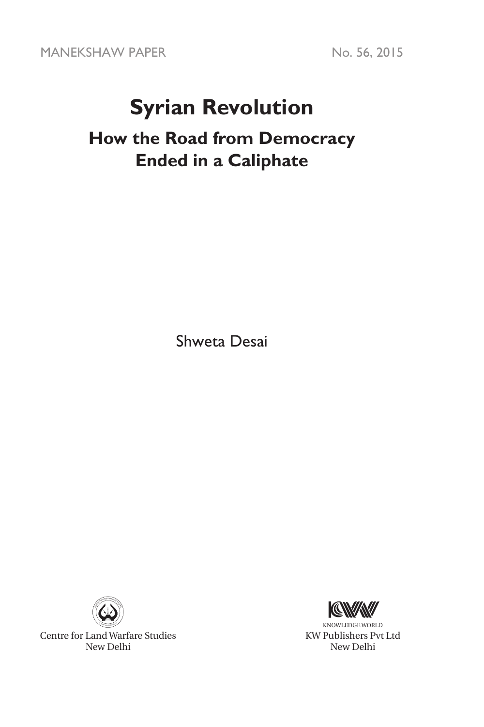MANEKSHAW PAPER No. 56, 2015

# **Syrian Revolution**

# **How the Road from Democracy Ended in a Caliphate**

Shweta Desai



Centre for Land Warfare Studies New Delhi



KNOWLEDGE WORLD KW Publishers Pvt Ltd New Delhi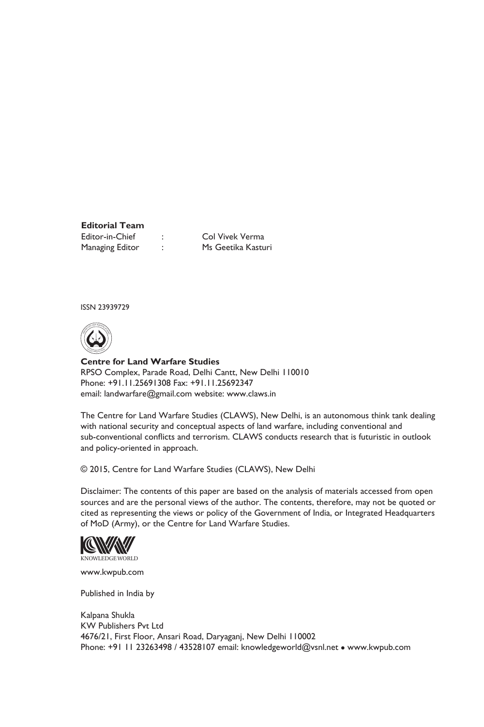**Editorial Team** Editor-in-Chief : Col Vivek Verma Managing Editor : Ms Geetika Kasturi

ISSN 23939729



**Centre for Land Warfare Studies**  RPSO Complex, Parade Road, Delhi Cantt, New Delhi 110010 Phone: +91.11.25691308 Fax: +91.11.25692347 email: landwarfare@gmail.com website: www.claws.in

The Centre for Land Warfare Studies (CLAWS), New Delhi, is an autonomous think tank dealing with national security and conceptual aspects of land warfare, including conventional and sub-conventional conflicts and terrorism. CLAWS conducts research that is futuristic in outlook and policy-oriented in approach.

© 2015, Centre for Land Warfare Studies (CLAWS), New Delhi

Disclaimer: The contents of this paper are based on the analysis of materials accessed from open sources and are the personal views of the author. The contents, therefore, may not be quoted or cited as representing the views or policy of the Government of India, or Integrated Headquarters of MoD (Army), or the Centre for Land Warfare Studies.



www.kwpub.com

Published in India by

Kalpana Shukla KW Publishers Pvt Ltd 4676/21, First Floor, Ansari Road, Daryaganj, New Delhi 110002 Phone: +91 11 23263498 / 43528107 email: knowledgeworld@vsnl.net • www.kwpub.com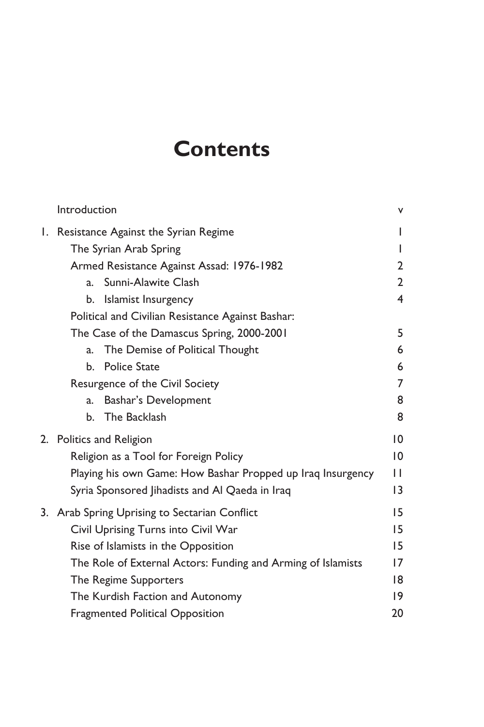# **Contents**

|    | Introduction                                                 | ٧               |
|----|--------------------------------------------------------------|-----------------|
| Ι. | Resistance Against the Syrian Regime                         | I               |
|    | The Syrian Arab Spring                                       | I               |
|    | Armed Resistance Against Assad: 1976-1982                    | 2               |
|    | Sunni-Alawite Clash<br>a.                                    | $\overline{2}$  |
|    | Islamist Insurgency<br>b.                                    | 4               |
|    | Political and Civilian Resistance Against Bashar:            |                 |
|    | The Case of the Damascus Spring, 2000-2001                   | 5               |
|    | The Demise of Political Thought<br>a.                        | 6               |
|    | <b>Police State</b><br>b.                                    | 6               |
|    | Resurgence of the Civil Society                              | 7               |
|    | Bashar's Development<br>a.                                   | 8               |
|    | The Backlash<br>b.                                           | 8               |
|    | 2. Politics and Religion                                     | 0               |
|    | Religion as a Tool for Foreign Policy                        | $\overline{10}$ |
|    | Playing his own Game: How Bashar Propped up Iraq Insurgency  | $\mathsf{L}$    |
|    | Syria Sponsored Jihadists and Al Qaeda in Iraq               | 13              |
| 3. | Arab Spring Uprising to Sectarian Conflict                   | 15              |
|    | Civil Uprising Turns into Civil War                          | 15              |
|    | Rise of Islamists in the Opposition                          | 15              |
|    | The Role of External Actors: Funding and Arming of Islamists | 17              |
|    | The Regime Supporters                                        | 18              |
|    | The Kurdish Faction and Autonomy                             | 19              |
|    | <b>Fragmented Political Opposition</b>                       | 20              |
|    |                                                              |                 |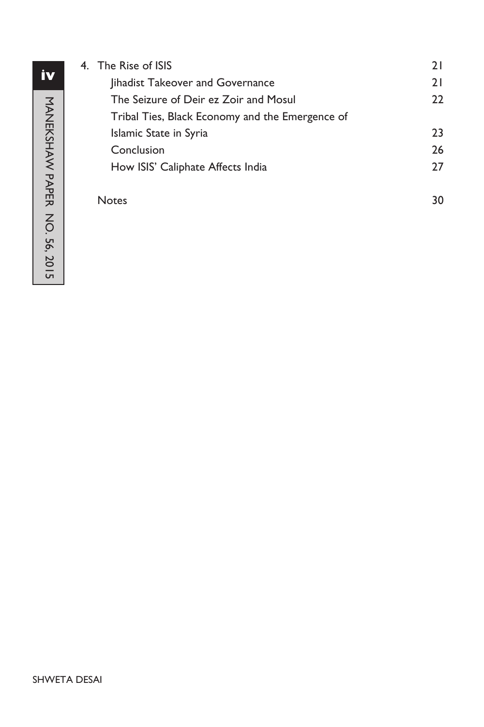| 4. The Rise of ISIS                             | 21 |
|-------------------------------------------------|----|
| lihadist Takeover and Governance                | 21 |
| The Seizure of Deir ez Zoir and Mosul           | 22 |
| Tribal Ties, Black Economy and the Emergence of |    |
| Islamic State in Syria                          | 23 |
| Conclusion                                      | 26 |
| How ISIS' Caliphate Affects India               | 27 |
| <b>Notes</b>                                    | 30 |
|                                                 |    |

# **iv**MANEKSHAW PAPER NO. 56, 2015 MANEKSHAW PAPER NO. 56, 2015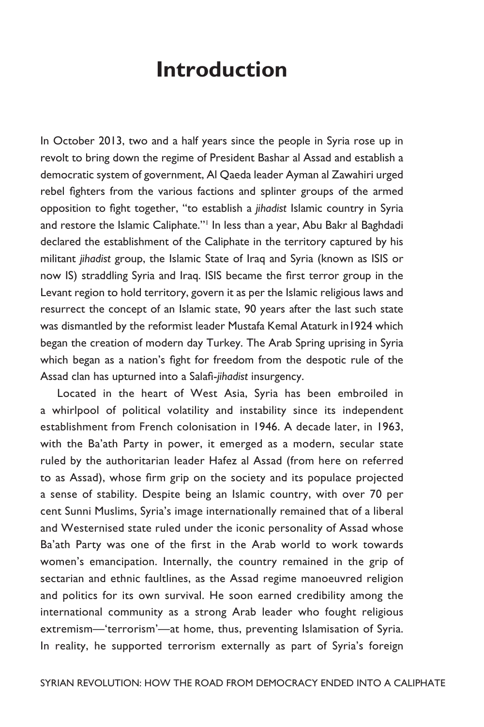# **Introduction**

In October 2013, two and a half years since the people in Syria rose up in revolt to bring down the regime of President Bashar al Assad and establish a democratic system of government, Al Qaeda leader Ayman al Zawahiri urged rebel fighters from the various factions and splinter groups of the armed opposition to fight together, "to establish a *jihadist* Islamic country in Syria and restore the Islamic Caliphate."<sup>1</sup> In less than a year, Abu Bakr al Baghdadi declared the establishment of the Caliphate in the territory captured by his militant *jihadist* group, the Islamic State of Iraq and Syria (known as ISIS or now IS) straddling Syria and Iraq. ISIS became the first terror group in the Levant region to hold territory, govern it as per the Islamic religious laws and resurrect the concept of an Islamic state, 90 years after the last such state was dismantled by the reformist leader Mustafa Kemal Ataturk in1924 which began the creation of modern day Turkey. The Arab Spring uprising in Syria which began as a nation's fight for freedom from the despotic rule of the Assad clan has upturned into a Salafi-*jihadist* insurgency.

Located in the heart of West Asia, Syria has been embroiled in a whirlpool of political volatility and instability since its independent establishment from French colonisation in 1946. A decade later, in 1963, with the Ba'ath Party in power, it emerged as a modern, secular state ruled by the authoritarian leader Hafez al Assad (from here on referred to as Assad), whose firm grip on the society and its populace projected a sense of stability. Despite being an Islamic country, with over 70 per cent Sunni Muslims, Syria's image internationally remained that of a liberal and Westernised state ruled under the iconic personality of Assad whose Ba'ath Party was one of the first in the Arab world to work towards women's emancipation. Internally, the country remained in the grip of sectarian and ethnic faultlines, as the Assad regime manoeuvred religion and politics for its own survival. He soon earned credibility among the international community as a strong Arab leader who fought religious extremism—'terrorism'—at home, thus, preventing Islamisation of Syria. In reality, he supported terrorism externally as part of Syria's foreign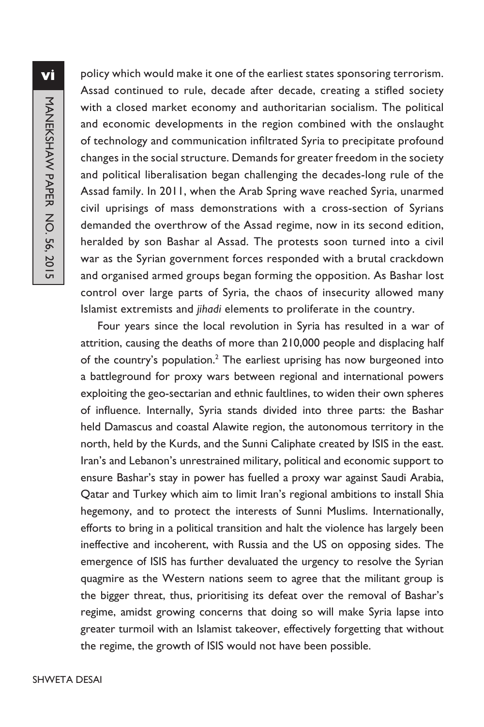policy which would make it one of the earliest states sponsoring terrorism. Assad continued to rule, decade after decade, creating a stifled society with a closed market economy and authoritarian socialism. The political and economic developments in the region combined with the onslaught of technology and communication infiltrated Syria to precipitate profound changes in the social structure. Demands for greater freedom in the society and political liberalisation began challenging the decades-long rule of the Assad family. In 2011, when the Arab Spring wave reached Syria, unarmed civil uprisings of mass demonstrations with a cross-section of Syrians demanded the overthrow of the Assad regime, now in its second edition, heralded by son Bashar al Assad. The protests soon turned into a civil war as the Syrian government forces responded with a brutal crackdown and organised armed groups began forming the opposition. As Bashar lost control over large parts of Syria, the chaos of insecurity allowed many Islamist extremists and *jihadi* elements to proliferate in the country.

Four years since the local revolution in Syria has resulted in a war of attrition, causing the deaths of more than 210,000 people and displacing half of the country's population.<sup>2</sup> The earliest uprising has now burgeoned into a battleground for proxy wars between regional and international powers exploiting the geo-sectarian and ethnic faultlines, to widen their own spheres of influence. Internally, Syria stands divided into three parts: the Bashar held Damascus and coastal Alawite region, the autonomous territory in the north, held by the Kurds, and the Sunni Caliphate created by ISIS in the east. Iran's and Lebanon's unrestrained military, political and economic support to ensure Bashar's stay in power has fuelled a proxy war against Saudi Arabia, Qatar and Turkey which aim to limit Iran's regional ambitions to install Shia hegemony, and to protect the interests of Sunni Muslims. Internationally, efforts to bring in a political transition and halt the violence has largely been ineffective and incoherent, with Russia and the US on opposing sides. The emergence of ISIS has further devaluated the urgency to resolve the Syrian quagmire as the Western nations seem to agree that the militant group is the bigger threat, thus, prioritising its defeat over the removal of Bashar's regime, amidst growing concerns that doing so will make Syria lapse into greater turmoil with an Islamist takeover, effectively forgetting that without the regime, the growth of ISIS would not have been possible.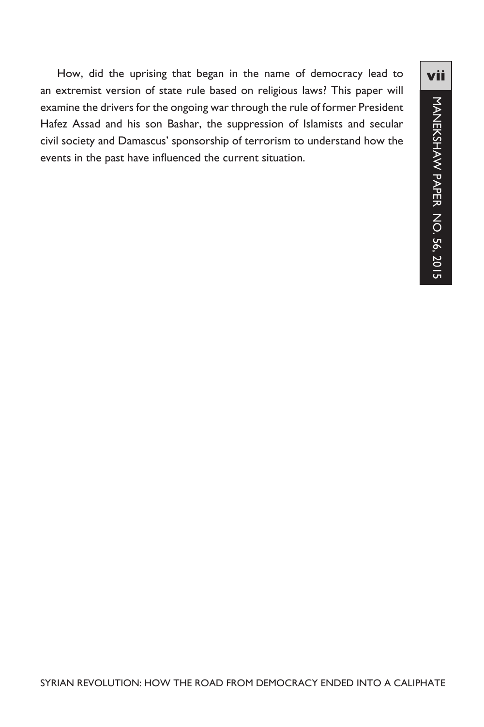How, did the uprising that began in the name of democracy lead to an extremist version of state rule based on religious laws? This paper will examine the drivers for the ongoing war through the rule of former President Hafez Assad and his son Bashar, the suppression of Islamists and secular civil society and Damascus' sponsorship of terrorism to understand how the events in the past have influenced the current situation.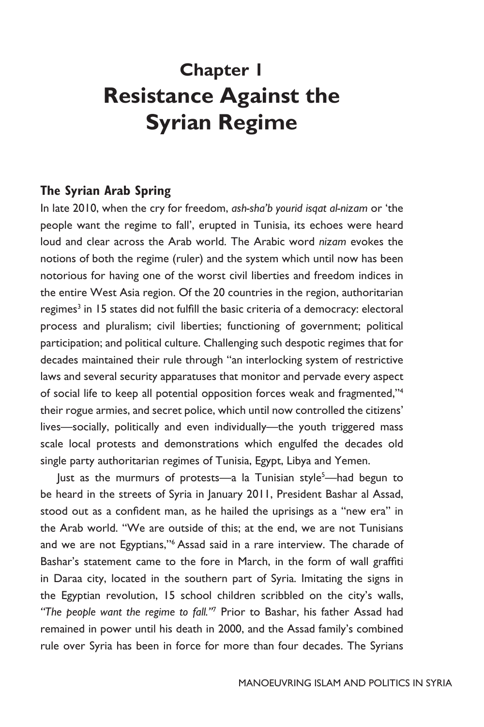# **Chapter 1 Resistance Against the Syrian Regime**

# **The Syrian Arab Spring**

In late 2010, when the cry for freedom, *ash-sha'b yourid isqat al-nizam* or 'the people want the regime to fall', erupted in Tunisia, its echoes were heard loud and clear across the Arab world. The Arabic word *nizam* evokes the notions of both the regime (ruler) and the system which until now has been notorious for having one of the worst civil liberties and freedom indices in the entire West Asia region. Of the 20 countries in the region, authoritarian regimes<sup>3</sup> in 15 states did not fulfill the basic criteria of a democracy: electoral process and pluralism; civil liberties; functioning of government; political participation; and political culture. Challenging such despotic regimes that for decades maintained their rule through "an interlocking system of restrictive laws and several security apparatuses that monitor and pervade every aspect of social life to keep all potential opposition forces weak and fragmented,"4 their rogue armies, and secret police, which until now controlled the citizens' lives—socially, politically and even individually—the youth triggered mass scale local protests and demonstrations which engulfed the decades old single party authoritarian regimes of Tunisia, Egypt, Libya and Yemen.

Just as the murmurs of protests—a la Tunisian style<sup>5</sup>—had begun to be heard in the streets of Syria in January 2011, President Bashar al Assad, stood out as a confident man, as he hailed the uprisings as a "new era" in the Arab world. "We are outside of this; at the end, we are not Tunisians and we are not Egyptians,''6 Assad said in a rare interview. The charade of Bashar's statement came to the fore in March, in the form of wall graffiti in Daraa city, located in the southern part of Syria. Imitating the signs in the Egyptian revolution, 15 school children scribbled on the city's walls, *"The people want the regime to fall.''*<sup>7</sup> Prior to Bashar, his father Assad had remained in power until his death in 2000, and the Assad family's combined rule over Syria has been in force for more than four decades. The Syrians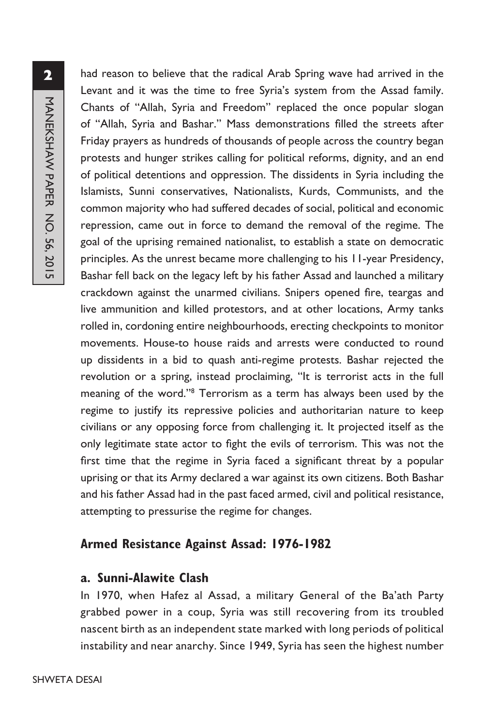had reason to believe that the radical Arab Spring wave had arrived in the Levant and it was the time to free Syria's system from the Assad family. Chants of "Allah, Syria and Freedom" replaced the once popular slogan of "Allah, Syria and Bashar.'' Mass demonstrations filled the streets after Friday prayers as hundreds of thousands of people across the country began protests and hunger strikes calling for political reforms, dignity, and an end of political detentions and oppression. The dissidents in Syria including the Islamists, Sunni conservatives, Nationalists, Kurds, Communists, and the common majority who had suffered decades of social, political and economic repression, came out in force to demand the removal of the regime. The goal of the uprising remained nationalist, to establish a state on democratic principles. As the unrest became more challenging to his 11-year Presidency, Bashar fell back on the legacy left by his father Assad and launched a military crackdown against the unarmed civilians. Snipers opened fire, teargas and live ammunition and killed protestors, and at other locations, Army tanks rolled in, cordoning entire neighbourhoods, erecting checkpoints to monitor movements. House-to house raids and arrests were conducted to round up dissidents in a bid to quash anti-regime protests. Bashar rejected the revolution or a spring, instead proclaiming, "It is terrorist acts in the full meaning of the word."8 Terrorism as a term has always been used by the regime to justify its repressive policies and authoritarian nature to keep civilians or any opposing force from challenging it. It projected itself as the only legitimate state actor to fight the evils of terrorism. This was not the first time that the regime in Syria faced a significant threat by a popular uprising or that its Army declared a war against its own citizens. Both Bashar and his father Assad had in the past faced armed, civil and political resistance, attempting to pressurise the regime for changes.

# **Armed Resistance Against Assad: 1976-1982**

# **a. Sunni-Alawite Clash**

In 1970, when Hafez al Assad, a military General of the Ba'ath Party grabbed power in a coup, Syria was still recovering from its troubled nascent birth as an independent state marked with long periods of political instability and near anarchy. Since 1949, Syria has seen the highest number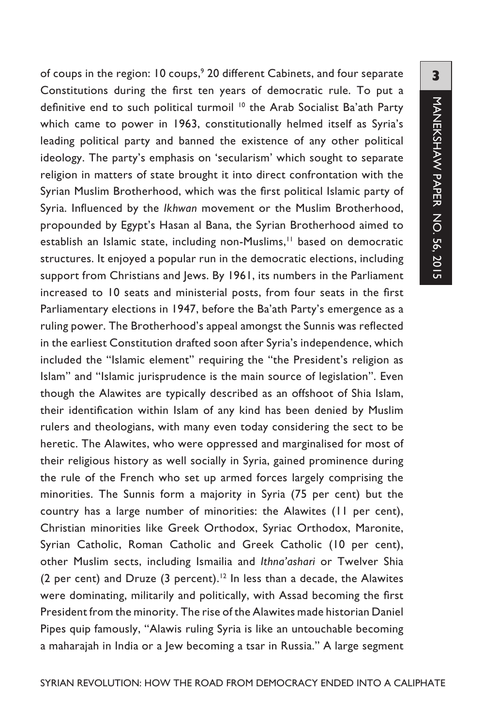of coups in the region: 10 coups,<sup>9</sup> 20 different Cabinets, and four separate Constitutions during the first ten years of democratic rule. To put a definitive end to such political turmoil<sup>10</sup> the Arab Socialist Ba'ath Party which came to power in 1963, constitutionally helmed itself as Syria's leading political party and banned the existence of any other political ideology. The party's emphasis on 'secularism' which sought to separate religion in matters of state brought it into direct confrontation with the Syrian Muslim Brotherhood, which was the first political Islamic party of Syria. Influenced by the *Ikhwan* movement or the Muslim Brotherhood, propounded by Egypt's Hasan al Bana, the Syrian Brotherhood aimed to establish an Islamic state, including non-Muslims,<sup>11</sup> based on democratic structures. It enjoyed a popular run in the democratic elections, including support from Christians and Jews. By 1961, its numbers in the Parliament increased to 10 seats and ministerial posts, from four seats in the first Parliamentary elections in 1947, before the Ba'ath Party's emergence as a ruling power. The Brotherhood's appeal amongst the Sunnis was reflected in the earliest Constitution drafted soon after Syria's independence, which included the "Islamic element" requiring the "the President's religion as Islam" and "Islamic jurisprudence is the main source of legislation". Even though the Alawites are typically described as an offshoot of Shia Islam, their identification within Islam of any kind has been denied by Muslim rulers and theologians, with many even today considering the sect to be heretic. The Alawites, who were oppressed and marginalised for most of their religious history as well socially in Syria, gained prominence during the rule of the French who set up armed forces largely comprising the minorities. The Sunnis form a majority in Syria (75 per cent) but the country has a large number of minorities: the Alawites (11 per cent), Christian minorities like Greek Orthodox, Syriac Orthodox, Maronite, Syrian Catholic, Roman Catholic and Greek Catholic (10 per cent), other Muslim sects, including Ismailia and *Ithna'ashari* or Twelver Shia (2 per cent) and Druze (3 percent).<sup>12</sup> In less than a decade, the Alawites were dominating, militarily and politically, with Assad becoming the first President from the minority. The rise of the Alawites made historian Daniel Pipes quip famously, "Alawis ruling Syria is like an untouchable becoming a maharajah in India or a Jew becoming a tsar in Russia." A large segment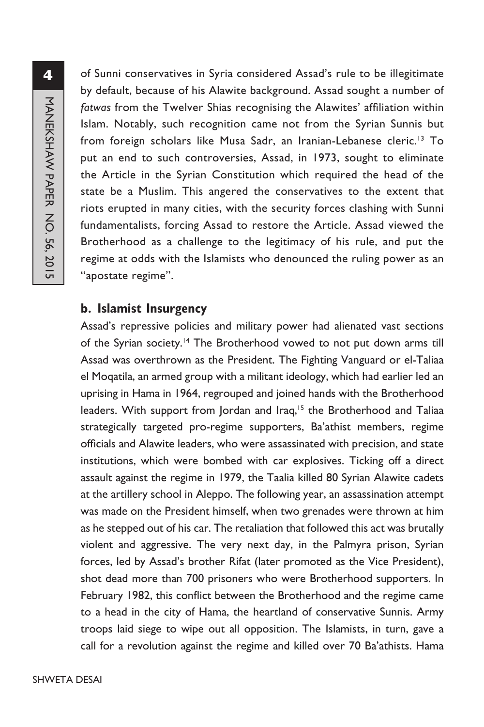of Sunni conservatives in Syria considered Assad's rule to be illegitimate by default, because of his Alawite background. Assad sought a number of *fatwas* from the Twelver Shias recognising the Alawites' affiliation within Islam. Notably, such recognition came not from the Syrian Sunnis but from foreign scholars like Musa Sadr, an Iranian-Lebanese cleric.<sup>13</sup> To put an end to such controversies, Assad, in 1973, sought to eliminate the Article in the Syrian Constitution which required the head of the state be a Muslim. This angered the conservatives to the extent that riots erupted in many cities, with the security forces clashing with Sunni fundamentalists, forcing Assad to restore the Article. Assad viewed the Brotherhood as a challenge to the legitimacy of his rule, and put the regime at odds with the Islamists who denounced the ruling power as an "apostate regime".

#### **b. Islamist Insurgency**

Assad's repressive policies and military power had alienated vast sections of the Syrian society.<sup>14</sup> The Brotherhood vowed to not put down arms till Assad was overthrown as the President. The Fighting Vanguard or el-Taliaa el Moqatila, an armed group with a militant ideology, which had earlier led an uprising in Hama in 1964, regrouped and joined hands with the Brotherhood leaders. With support from Jordan and Iraq,<sup>15</sup> the Brotherhood and Taliaa strategically targeted pro-regime supporters, Ba'athist members, regime officials and Alawite leaders, who were assassinated with precision, and state institutions, which were bombed with car explosives. Ticking off a direct assault against the regime in 1979, the Taalia killed 80 Syrian Alawite cadets at the artillery school in Aleppo. The following year, an assassination attempt was made on the President himself, when two grenades were thrown at him as he stepped out of his car. The retaliation that followed this act was brutally violent and aggressive. The very next day, in the Palmyra prison, Syrian forces, led by Assad's brother Rifat (later promoted as the Vice President), shot dead more than 700 prisoners who were Brotherhood supporters. In February 1982, this conflict between the Brotherhood and the regime came to a head in the city of Hama, the heartland of conservative Sunnis. Army troops laid siege to wipe out all opposition. The Islamists, in turn, gave a call for a revolution against the regime and killed over 70 Ba'athists. Hama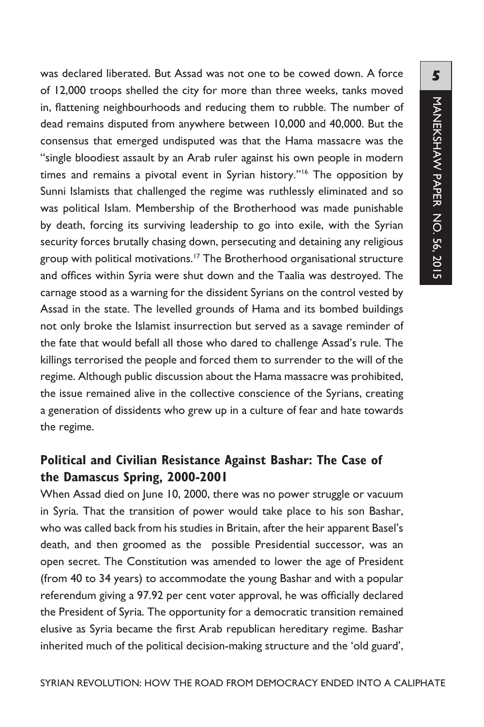was declared liberated. But Assad was not one to be cowed down. A force of 12,000 troops shelled the city for more than three weeks, tanks moved in, flattening neighbourhoods and reducing them to rubble. The number of dead remains disputed from anywhere between 10,000 and 40,000. But the consensus that emerged undisputed was that the Hama massacre was the "single bloodiest assault by an Arab ruler against his own people in modern times and remains a pivotal event in Syrian history."<sup>16</sup> The opposition by Sunni Islamists that challenged the regime was ruthlessly eliminated and so was political Islam. Membership of the Brotherhood was made punishable by death, forcing its surviving leadership to go into exile, with the Syrian security forces brutally chasing down, persecuting and detaining any religious group with political motivations.17 The Brotherhood organisational structure and offices within Syria were shut down and the Taalia was destroyed. The carnage stood as a warning for the dissident Syrians on the control vested by Assad in the state. The levelled grounds of Hama and its bombed buildings not only broke the Islamist insurrection but served as a savage reminder of the fate that would befall all those who dared to challenge Assad's rule. The killings terrorised the people and forced them to surrender to the will of the regime. Although public discussion about the Hama massacre was prohibited, the issue remained alive in the collective conscience of the Syrians, creating a generation of dissidents who grew up in a culture of fear and hate towards the regime.

# **Political and Civilian Resistance Against Bashar: The Case of the Damascus Spring, 2000-2001**

When Assad died on June 10, 2000, there was no power struggle or vacuum in Syria. That the transition of power would take place to his son Bashar, who was called back from his studies in Britain, after the heir apparent Basel's death, and then groomed as the possible Presidential successor, was an open secret. The Constitution was amended to lower the age of President (from 40 to 34 years) to accommodate the young Bashar and with a popular referendum giving a 97.92 per cent voter approval, he was officially declared the President of Syria. The opportunity for a democratic transition remained elusive as Syria became the first Arab republican hereditary regime. Bashar inherited much of the political decision-making structure and the 'old guard',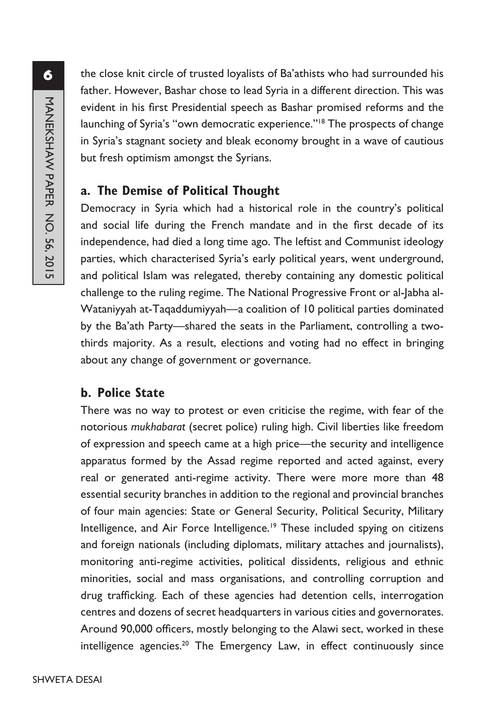the close knit circle of trusted loyalists of Ba'athists who had surrounded his father. However, Bashar chose to lead Syria in a different direction. This was evident in his first Presidential speech as Bashar promised reforms and the launching of Syria's "own democratic experience."<sup>18</sup> The prospects of change in Syria's stagnant society and bleak economy brought in a wave of cautious but fresh optimism amongst the Syrians.

# **a. The Demise of Political Thought**

Democracy in Syria which had a historical role in the country's political and social life during the French mandate and in the first decade of its independence, had died a long time ago. The leftist and Communist ideology parties, which characterised Syria's early political years, went underground, and political Islam was relegated, thereby containing any domestic political challenge to the ruling regime. The National Progressive Front or al-Jabha al-Wataniyyah at-Taqaddumiyyah—a coalition of 10 political parties dominated by the Ba'ath Party—shared the seats in the Parliament, controlling a twothirds majority. As a result, elections and voting had no effect in bringing about any change of government or governance.

# **b. Police State**

There was no way to protest or even criticise the regime, with fear of the notorious *mukhabarat* (secret police) ruling high. Civil liberties like freedom of expression and speech came at a high price—the security and intelligence apparatus formed by the Assad regime reported and acted against, every real or generated anti-regime activity. There were more more than 48 essential security branches in addition to the regional and provincial branches of four main agencies: State or General Security, Political Security, Military Intelligence, and Air Force Intelligence.<sup>19</sup> These included spying on citizens and foreign nationals (including diplomats, military attaches and journalists), monitoring anti-regime activities, political dissidents, religious and ethnic minorities, social and mass organisations, and controlling corruption and drug trafficking. Each of these agencies had detention cells, interrogation centres and dozens of secret headquarters in various cities and governorates. Around 90,000 officers, mostly belonging to the Alawi sect, worked in these intelligence agencies.20 The Emergency Law, in effect continuously since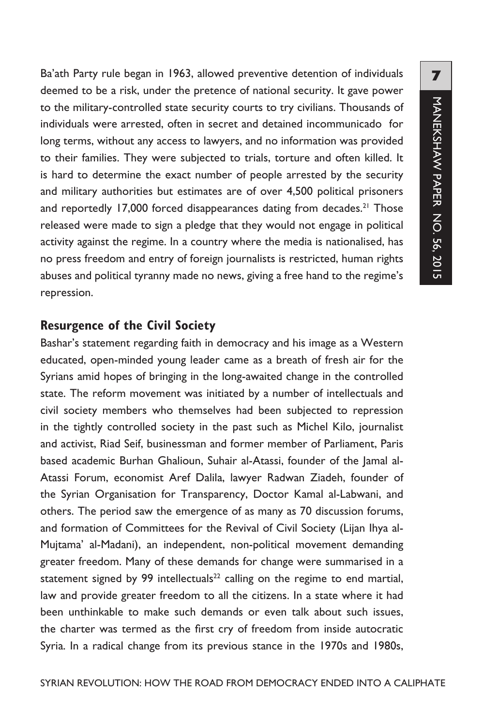Ba'ath Party rule began in 1963, allowed preventive detention of individuals deemed to be a risk, under the pretence of national security. It gave power to the military-controlled state security courts to try civilians. Thousands of individuals were arrested, often in secret and detained incommunicado for long terms, without any access to lawyers, and no information was provided to their families. They were subjected to trials, torture and often killed. It is hard to determine the exact number of people arrested by the security and military authorities but estimates are of over 4,500 political prisoners and reportedly 17,000 forced disappearances dating from decades.<sup>21</sup> Those released were made to sign a pledge that they would not engage in political activity against the regime. In a country where the media is nationalised, has no press freedom and entry of foreign journalists is restricted, human rights abuses and political tyranny made no news, giving a free hand to the regime's repression.

# **Resurgence of the Civil Society**

Bashar's statement regarding faith in democracy and his image as a Western educated, open-minded young leader came as a breath of fresh air for the Syrians amid hopes of bringing in the long-awaited change in the controlled state. The reform movement was initiated by a number of intellectuals and civil society members who themselves had been subjected to repression in the tightly controlled society in the past such as Michel Kilo, journalist and activist, Riad Seif, businessman and former member of Parliament, Paris based academic Burhan Ghalioun, Suhair al-Atassi, founder of the Jamal al-Atassi Forum, economist Aref Dalila, lawyer Radwan Ziadeh, founder of the Syrian Organisation for Transparency, Doctor Kamal al-Labwani, and others. The period saw the emergence of as many as 70 discussion forums, and formation of Committees for the Revival of Civil Society (Lijan Ihya al-Mujtama' al-Madani), an independent, non-political movement demanding greater freedom. Many of these demands for change were summarised in a statement signed by 99 intellectuals<sup>22</sup> calling on the regime to end martial, law and provide greater freedom to all the citizens. In a state where it had been unthinkable to make such demands or even talk about such issues, the charter was termed as the first cry of freedom from inside autocratic Syria. In a radical change from its previous stance in the 1970s and 1980s,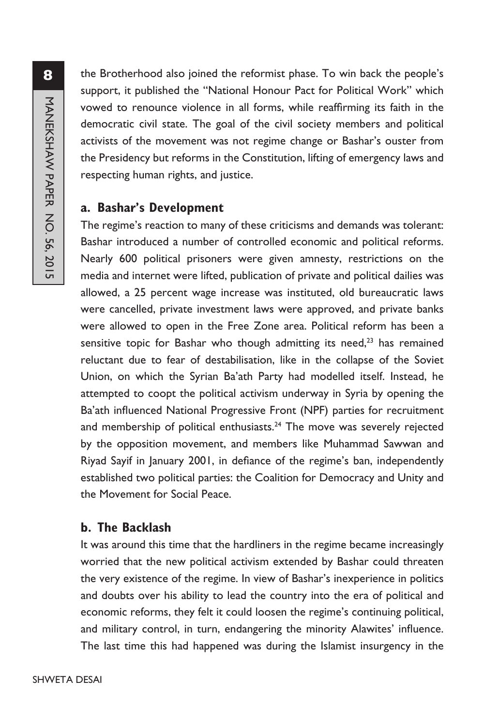the Brotherhood also joined the reformist phase. To win back the people's support, it published the "National Honour Pact for Political Work" which vowed to renounce violence in all forms, while reaffirming its faith in the democratic civil state. The goal of the civil society members and political activists of the movement was not regime change or Bashar's ouster from the Presidency but reforms in the Constitution, lifting of emergency laws and respecting human rights, and justice.

# **a. Bashar's Development**

The regime's reaction to many of these criticisms and demands was tolerant: Bashar introduced a number of controlled economic and political reforms. Nearly 600 political prisoners were given amnesty, restrictions on the media and internet were lifted, publication of private and political dailies was allowed, a 25 percent wage increase was instituted, old bureaucratic laws were cancelled, private investment laws were approved, and private banks were allowed to open in the Free Zone area. Political reform has been a sensitive topic for Bashar who though admitting its need, $23$  has remained reluctant due to fear of destabilisation, like in the collapse of the Soviet Union, on which the Syrian Ba'ath Party had modelled itself. Instead, he attempted to coopt the political activism underway in Syria by opening the Ba'ath influenced National Progressive Front (NPF) parties for recruitment and membership of political enthusiasts. $24$  The move was severely rejected by the opposition movement, and members like Muhammad Sawwan and Riyad Sayif in January 2001, in defiance of the regime's ban, independently established two political parties: the Coalition for Democracy and Unity and the Movement for Social Peace.

# **b. The Backlash**

It was around this time that the hardliners in the regime became increasingly worried that the new political activism extended by Bashar could threaten the very existence of the regime. In view of Bashar's inexperience in politics and doubts over his ability to lead the country into the era of political and economic reforms, they felt it could loosen the regime's continuing political, and military control, in turn, endangering the minority Alawites' influence. The last time this had happened was during the Islamist insurgency in the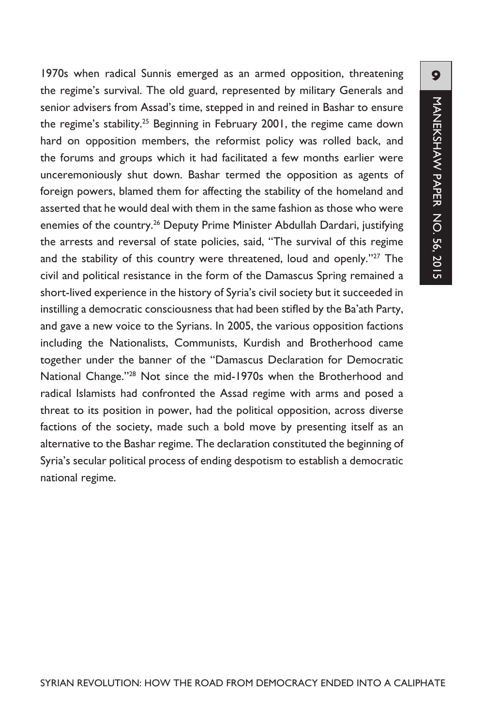1970s when radical Sunnis emerged as an armed opposition, threatening the regime's survival. The old guard, represented by military Generals and senior advisers from Assad's time, stepped in and reined in Bashar to ensure the regime's stability.<sup>25</sup> Beginning in February 2001, the regime came down hard on opposition members, the reformist policy was rolled back, and the forums and groups which it had facilitated a few months earlier were unceremoniously shut down. Bashar termed the opposition as agents of foreign powers, blamed them for affecting the stability of the homeland and asserted that he would deal with them in the same fashion as those who were enemies of the country.<sup>26</sup> Deputy Prime Minister Abdullah Dardari, justifying the arrests and reversal of state policies, said, "The survival of this regime and the stability of this country were threatened, loud and openly."27 The civil and political resistance in the form of the Damascus Spring remained a short-lived experience in the history of Syria's civil society but it succeeded in instilling a democratic consciousness that had been stifled by the Ba'ath Party, and gave a new voice to the Syrians. In 2005, the various opposition factions including the Nationalists, Communists, Kurdish and Brotherhood came together under the banner of the "Damascus Declaration for Democratic National Change."28 Not since the mid-1970s when the Brotherhood and radical Islamists had confronted the Assad regime with arms and posed a threat to its position in power, had the political opposition, across diverse factions of the society, made such a bold move by presenting itself as an alternative to the Bashar regime. The declaration constituted the beginning of Syria's secular political process of ending despotism to establish a democratic national regime.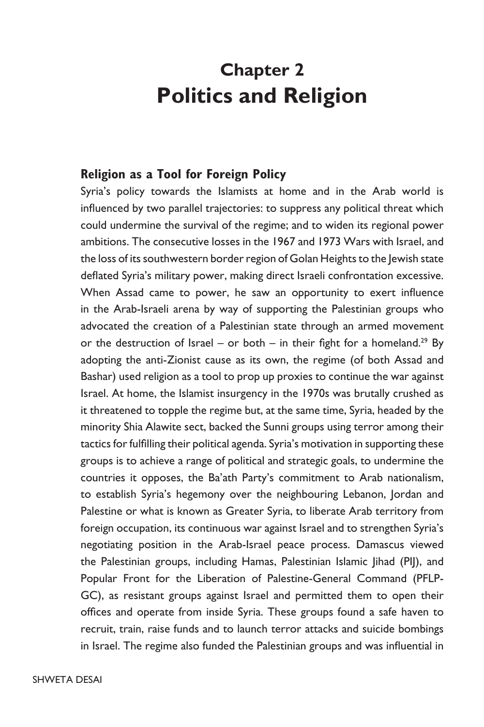# **Chapter 2 Politics and Religion**

#### **Religion as a Tool for Foreign Policy**

Syria's policy towards the Islamists at home and in the Arab world is influenced by two parallel trajectories: to suppress any political threat which could undermine the survival of the regime; and to widen its regional power ambitions. The consecutive losses in the 1967 and 1973 Wars with Israel, and the loss of its southwestern border region of Golan Heights to the Jewish state deflated Syria's military power, making direct Israeli confrontation excessive. When Assad came to power, he saw an opportunity to exert influence in the Arab-Israeli arena by way of supporting the Palestinian groups who advocated the creation of a Palestinian state through an armed movement or the destruction of Israel – or both – in their fight for a homeland.<sup>29</sup> By adopting the anti-Zionist cause as its own, the regime (of both Assad and Bashar) used religion as a tool to prop up proxies to continue the war against Israel. At home, the Islamist insurgency in the 1970s was brutally crushed as it threatened to topple the regime but, at the same time, Syria, headed by the minority Shia Alawite sect, backed the Sunni groups using terror among their tactics for fulfilling their political agenda. Syria's motivation in supporting these groups is to achieve a range of political and strategic goals, to undermine the countries it opposes, the Ba'ath Party's commitment to Arab nationalism, to establish Syria's hegemony over the neighbouring Lebanon, Jordan and Palestine or what is known as Greater Syria, to liberate Arab territory from foreign occupation, its continuous war against Israel and to strengthen Syria's negotiating position in the Arab-Israel peace process. Damascus viewed the Palestinian groups, including Hamas, Palestinian Islamic Jihad (PIJ), and Popular Front for the Liberation of Palestine-General Command (PFLP-GC), as resistant groups against Israel and permitted them to open their offices and operate from inside Syria. These groups found a safe haven to recruit, train, raise funds and to launch terror attacks and suicide bombings in Israel. The regime also funded the Palestinian groups and was influential in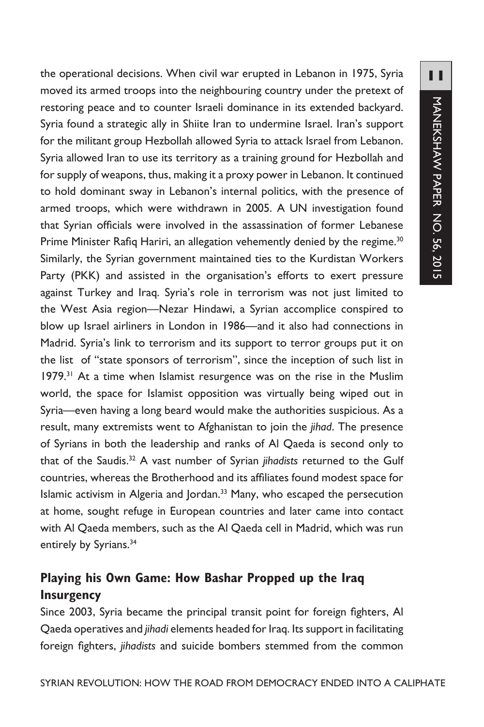the operational decisions. When civil war erupted in Lebanon in 1975, Syria moved its armed troops into the neighbouring country under the pretext of restoring peace and to counter Israeli dominance in its extended backyard. Syria found a strategic ally in Shiite Iran to undermine Israel. Iran's support for the militant group Hezbollah allowed Syria to attack Israel from Lebanon. Syria allowed Iran to use its territory as a training ground for Hezbollah and for supply of weapons, thus, making it a proxy power in Lebanon. It continued to hold dominant sway in Lebanon's internal politics, with the presence of armed troops, which were withdrawn in 2005. A UN investigation found that Syrian officials were involved in the assassination of former Lebanese Prime Minister Rafiq Hariri, an allegation vehemently denied by the regime.<sup>30</sup> Similarly, the Syrian government maintained ties to the Kurdistan Workers Party (PKK) and assisted in the organisation's efforts to exert pressure against Turkey and Iraq. Syria's role in terrorism was not just limited to the West Asia region—Nezar Hindawi, a Syrian accomplice conspired to blow up Israel airliners in London in 1986—and it also had connections in Madrid. Syria's link to terrorism and its support to terror groups put it on the list of "state sponsors of terrorism", since the inception of such list in 1979.<sup>31</sup> At a time when Islamist resurgence was on the rise in the Muslim world, the space for Islamist opposition was virtually being wiped out in Syria—even having a long beard would make the authorities suspicious. As a result, many extremists went to Afghanistan to join the *jihad*. The presence of Syrians in both the leadership and ranks of Al Qaeda is second only to that of the Saudis.32 A vast number of Syrian *jihadists* returned to the Gulf countries, whereas the Brotherhood and its affiliates found modest space for Islamic activism in Algeria and Jordan.<sup>33</sup> Many, who escaped the persecution at home, sought refuge in European countries and later came into contact with Al Qaeda members, such as the Al Qaeda cell in Madrid, which was run entirely by Syrians.<sup>34</sup>

# **Playing his Own Game: How Bashar Propped up the Iraq Insurgency**

Since 2003, Syria became the principal transit point for foreign fighters, Al Qaeda operatives and *jihadi* elements headed for Iraq. Its support in facilitating foreign fighters, *jihadists* and suicide bombers stemmed from the common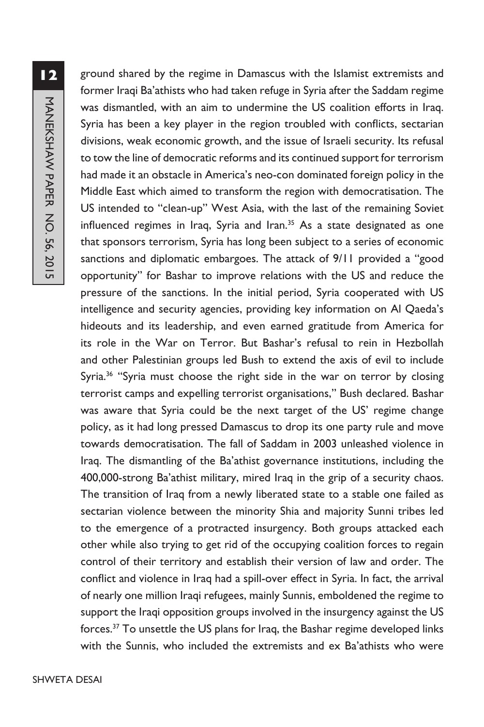ground shared by the regime in Damascus with the Islamist extremists and former Iraqi Ba'athists who had taken refuge in Syria after the Saddam regime was dismantled, with an aim to undermine the US coalition efforts in Iraq. Syria has been a key player in the region troubled with conflicts, sectarian divisions, weak economic growth, and the issue of Israeli security. Its refusal to tow the line of democratic reforms and its continued support for terrorism had made it an obstacle in America's neo-con dominated foreign policy in the Middle East which aimed to transform the region with democratisation. The US intended to "clean-up" West Asia, with the last of the remaining Soviet influenced regimes in Iraq, Syria and Iran.<sup>35</sup> As a state designated as one that sponsors terrorism, Syria has long been subject to a series of economic sanctions and diplomatic embargoes. The attack of 9/11 provided a "good opportunity" for Bashar to improve relations with the US and reduce the pressure of the sanctions. In the initial period, Syria cooperated with US intelligence and security agencies, providing key information on Al Qaeda's hideouts and its leadership, and even earned gratitude from America for its role in the War on Terror. But Bashar's refusal to rein in Hezbollah and other Palestinian groups led Bush to extend the axis of evil to include Syria.<sup>36</sup> "Syria must choose the right side in the war on terror by closing terrorist camps and expelling terrorist organisations,'' Bush declared. Bashar was aware that Syria could be the next target of the US' regime change policy, as it had long pressed Damascus to drop its one party rule and move towards democratisation. The fall of Saddam in 2003 unleashed violence in Iraq. The dismantling of the Ba'athist governance institutions, including the 400,000-strong Ba'athist military, mired Iraq in the grip of a security chaos. The transition of Iraq from a newly liberated state to a stable one failed as sectarian violence between the minority Shia and majority Sunni tribes led to the emergence of a protracted insurgency. Both groups attacked each other while also trying to get rid of the occupying coalition forces to regain control of their territory and establish their version of law and order. The conflict and violence in Iraq had a spill-over effect in Syria. In fact, the arrival of nearly one million Iraqi refugees, mainly Sunnis, emboldened the regime to support the Iraqi opposition groups involved in the insurgency against the US forces.<sup>37</sup> To unsettle the US plans for Iraq, the Bashar regime developed links with the Sunnis, who included the extremists and ex Ba'athists who were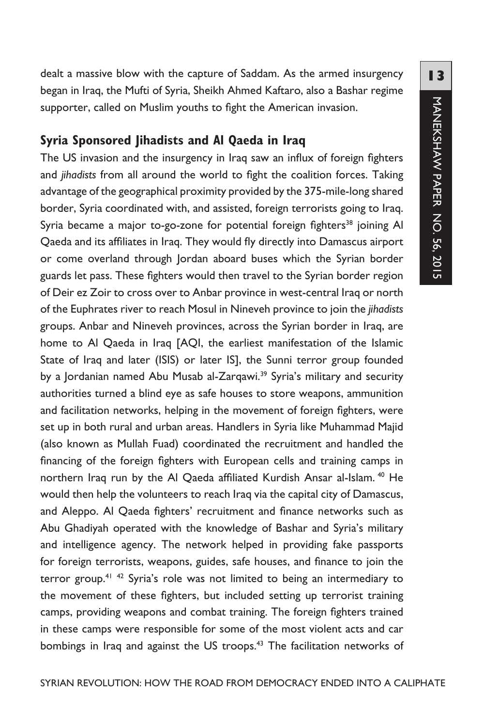dealt a massive blow with the capture of Saddam. As the armed insurgency began in Iraq, the Mufti of Syria, Sheikh Ahmed Kaftaro, also a Bashar regime supporter, called on Muslim youths to fight the American invasion.

# **Syria Sponsored Jihadists and Al Qaeda in Iraq**

The US invasion and the insurgency in Iraq saw an influx of foreign fighters and *jihadists* from all around the world to fight the coalition forces. Taking advantage of the geographical proximity provided by the 375-mile-long shared border, Syria coordinated with, and assisted, foreign terrorists going to Iraq. Syria became a major to-go-zone for potential foreign fighters<sup>38</sup> joining Al Qaeda and its affiliates in Iraq. They would fly directly into Damascus airport or come overland through Jordan aboard buses which the Syrian border guards let pass. These fighters would then travel to the Syrian border region of Deir ez Zoir to cross over to Anbar province in west-central Iraq or north of the Euphrates river to reach Mosul in Nineveh province to join the *jihadists*  groups. Anbar and Nineveh provinces, across the Syrian border in Iraq, are home to Al Qaeda in Iraq [AQI, the earliest manifestation of the Islamic State of Iraq and later (ISIS) or later IS], the Sunni terror group founded by a Jordanian named Abu Musab al-Zarqawi.<sup>39</sup> Syria's military and security authorities turned a blind eye as safe houses to store weapons, ammunition and facilitation networks, helping in the movement of foreign fighters, were set up in both rural and urban areas. Handlers in Syria like Muhammad Majid (also known as Mullah Fuad) coordinated the recruitment and handled the financing of the foreign fighters with European cells and training camps in northern Iraq run by the Al Qaeda affiliated Kurdish Ansar al-Islam.<sup>40</sup> He would then help the volunteers to reach Iraq via the capital city of Damascus, and Aleppo. Al Qaeda fighters' recruitment and finance networks such as Abu Ghadiyah operated with the knowledge of Bashar and Syria's military and intelligence agency. The network helped in providing fake passports for foreign terrorists, weapons, guides, safe houses, and finance to join the terror group.<sup>41</sup>  $42$  Syria's role was not limited to being an intermediary to the movement of these fighters, but included setting up terrorist training camps, providing weapons and combat training. The foreign fighters trained in these camps were responsible for some of the most violent acts and car bombings in Iraq and against the US troops.<sup>43</sup> The facilitation networks of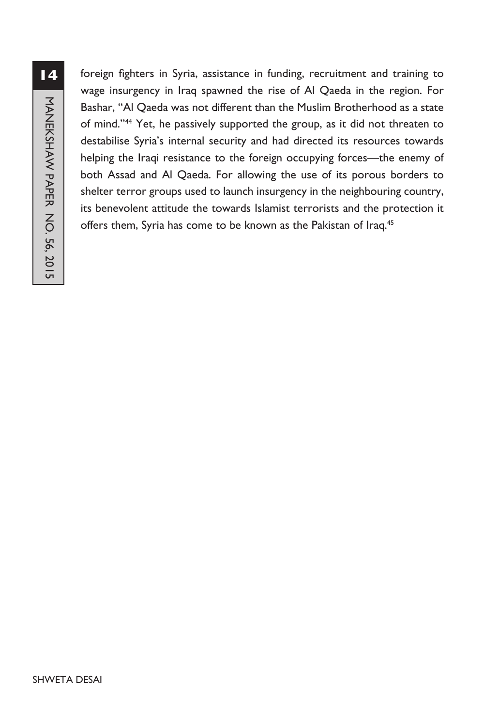foreign fighters in Syria, assistance in funding, recruitment and training to wage insurgency in Iraq spawned the rise of Al Qaeda in the region. For Bashar, "Al Qaeda was not different than the Muslim Brotherhood as a state of mind."44 Yet, he passively supported the group, as it did not threaten to destabilise Syria's internal security and had directed its resources towards helping the Iraqi resistance to the foreign occupying forces—the enemy of both Assad and Al Qaeda. For allowing the use of its porous borders to shelter terror groups used to launch insurgency in the neighbouring country, its benevolent attitude the towards Islamist terrorists and the protection it offers them, Syria has come to be known as the Pakistan of Iraq.<sup>45</sup>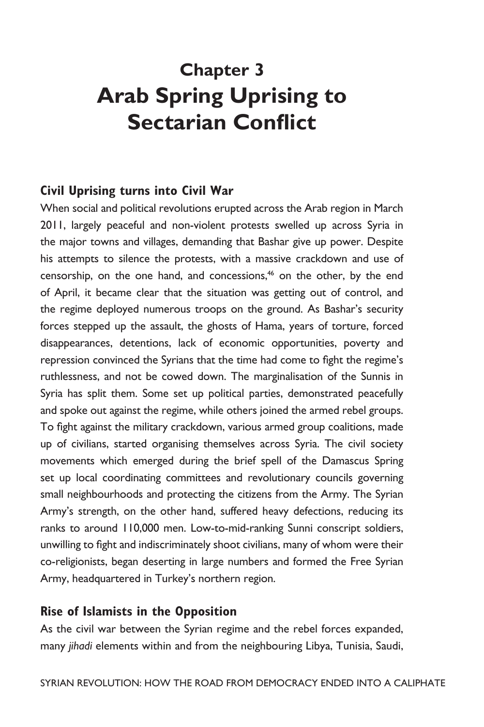# **Chapter 3 Arab Spring Uprising to Sectarian Conflict**

# **Civil Uprising turns into Civil War**

When social and political revolutions erupted across the Arab region in March 2011, largely peaceful and non-violent protests swelled up across Syria in the major towns and villages, demanding that Bashar give up power. Despite his attempts to silence the protests, with a massive crackdown and use of censorship, on the one hand, and concessions,<sup>46</sup> on the other, by the end of April, it became clear that the situation was getting out of control, and the regime deployed numerous troops on the ground. As Bashar's security forces stepped up the assault, the ghosts of Hama, years of torture, forced disappearances, detentions, lack of economic opportunities, poverty and repression convinced the Syrians that the time had come to fight the regime's ruthlessness, and not be cowed down. The marginalisation of the Sunnis in Syria has split them. Some set up political parties, demonstrated peacefully and spoke out against the regime, while others joined the armed rebel groups. To fight against the military crackdown, various armed group coalitions, made up of civilians, started organising themselves across Syria. The civil society movements which emerged during the brief spell of the Damascus Spring set up local coordinating committees and revolutionary councils governing small neighbourhoods and protecting the citizens from the Army. The Syrian Army's strength, on the other hand, suffered heavy defections, reducing its ranks to around 110,000 men. Low-to-mid-ranking Sunni conscript soldiers, unwilling to fight and indiscriminately shoot civilians, many of whom were their co-religionists, began deserting in large numbers and formed the Free Syrian Army, headquartered in Turkey's northern region.

#### **Rise of Islamists in the Opposition**

As the civil war between the Syrian regime and the rebel forces expanded, many *jihadi* elements within and from the neighbouring Libya, Tunisia, Saudi,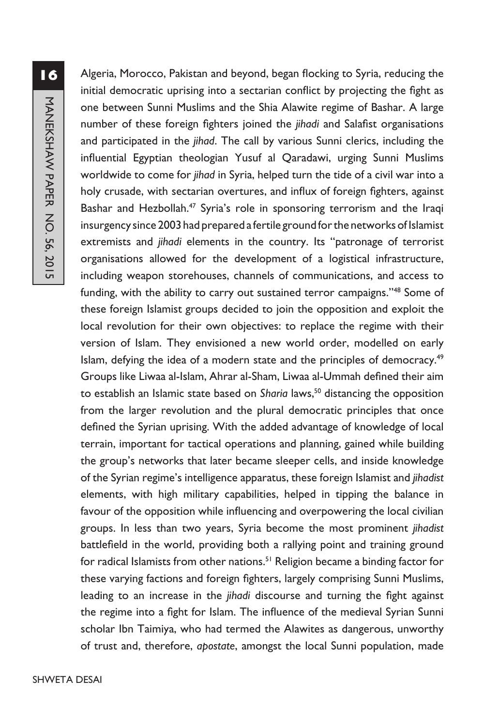Algeria, Morocco, Pakistan and beyond, began flocking to Syria, reducing the initial democratic uprising into a sectarian conflict by projecting the fight as one between Sunni Muslims and the Shia Alawite regime of Bashar. A large number of these foreign fighters joined the *jihadi* and Salafist organisations and participated in the *jihad*. The call by various Sunni clerics, including the influential Egyptian theologian Yusuf al Qaradawi, urging Sunni Muslims worldwide to come for *jihad* in Syria, helped turn the tide of a civil war into a holy crusade, with sectarian overtures, and influx of foreign fighters, against Bashar and Hezbollah.<sup>47</sup> Syria's role in sponsoring terrorism and the Iraqi insurgency since 2003 had prepared a fertile ground for the networks of Islamist extremists and *jihadi* elements in the country. Its "patronage of terrorist organisations allowed for the development of a logistical infrastructure, including weapon storehouses, channels of communications, and access to funding, with the ability to carry out sustained terror campaigns."<sup>48</sup> Some of these foreign Islamist groups decided to join the opposition and exploit the local revolution for their own objectives: to replace the regime with their version of Islam. They envisioned a new world order, modelled on early Islam, defying the idea of a modern state and the principles of democracy.<sup>49</sup> Groups like Liwaa al-Islam, Ahrar al-Sham, Liwaa al-Ummah defined their aim to establish an Islamic state based on *Sharia* laws,<sup>50</sup> distancing the opposition from the larger revolution and the plural democratic principles that once defined the Syrian uprising. With the added advantage of knowledge of local terrain, important for tactical operations and planning, gained while building the group's networks that later became sleeper cells, and inside knowledge of the Syrian regime's intelligence apparatus, these foreign Islamist and *jihadist* elements, with high military capabilities, helped in tipping the balance in favour of the opposition while influencing and overpowering the local civilian groups. In less than two years, Syria become the most prominent *jihadist*  battlefield in the world, providing both a rallying point and training ground for radical Islamists from other nations.<sup>51</sup> Religion became a binding factor for these varying factions and foreign fighters, largely comprising Sunni Muslims, leading to an increase in the *jihadi* discourse and turning the fight against the regime into a fight for Islam. The influence of the medieval Syrian Sunni scholar Ibn Taimiya, who had termed the Alawites as dangerous, unworthy of trust and, therefore, *apostate*, amongst the local Sunni population, made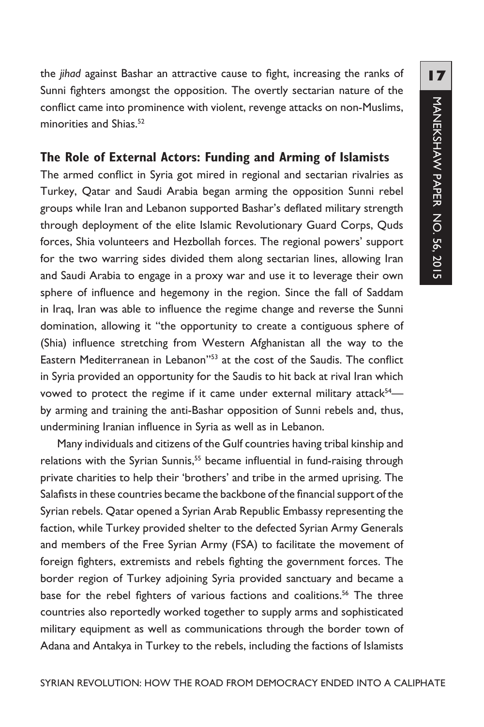the *jihad* against Bashar an attractive cause to fight, increasing the ranks of Sunni fighters amongst the opposition. The overtly sectarian nature of the conflict came into prominence with violent, revenge attacks on non-Muslims, minorities and Shias.<sup>52</sup>

# **The Role of External Actors: Funding and Arming of Islamists**

The armed conflict in Syria got mired in regional and sectarian rivalries as Turkey, Qatar and Saudi Arabia began arming the opposition Sunni rebel groups while Iran and Lebanon supported Bashar's deflated military strength through deployment of the elite Islamic Revolutionary Guard Corps, Quds forces, Shia volunteers and Hezbollah forces. The regional powers' support for the two warring sides divided them along sectarian lines, allowing Iran and Saudi Arabia to engage in a proxy war and use it to leverage their own sphere of influence and hegemony in the region. Since the fall of Saddam in Iraq, Iran was able to influence the regime change and reverse the Sunni domination, allowing it "the opportunity to create a contiguous sphere of (Shia) influence stretching from Western Afghanistan all the way to the Eastern Mediterranean in Lebanon''53 at the cost of the Saudis. The conflict in Syria provided an opportunity for the Saudis to hit back at rival Iran which vowed to protect the regime if it came under external military attack<sup>54</sup> by arming and training the anti-Bashar opposition of Sunni rebels and, thus, undermining Iranian influence in Syria as well as in Lebanon.

Many individuals and citizens of the Gulf countries having tribal kinship and relations with the Syrian Sunnis,<sup>55</sup> became influential in fund-raising through private charities to help their 'brothers' and tribe in the armed uprising. The Salafists in these countries became the backbone of the financial support of the Syrian rebels. Qatar opened a Syrian Arab Republic Embassy representing the faction, while Turkey provided shelter to the defected Syrian Army Generals and members of the Free Syrian Army (FSA) to facilitate the movement of foreign fighters, extremists and rebels fighting the government forces. The border region of Turkey adjoining Syria provided sanctuary and became a base for the rebel fighters of various factions and coalitions.<sup>56</sup> The three countries also reportedly worked together to supply arms and sophisticated military equipment as well as communications through the border town of Adana and Antakya in Turkey to the rebels, including the factions of Islamists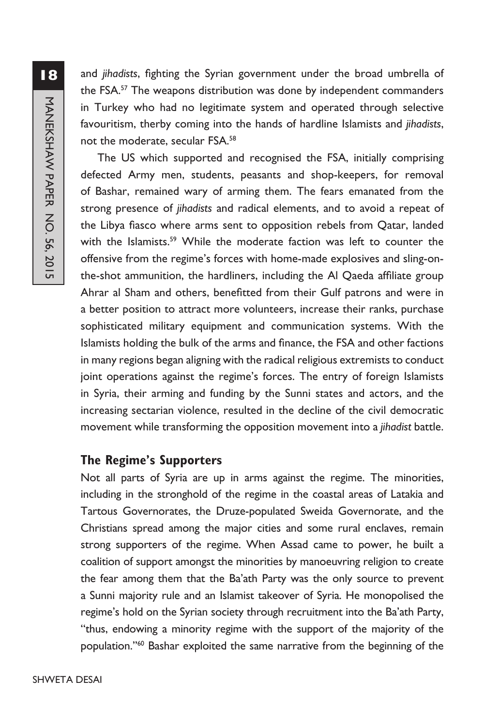and *jihadists*, fighting the Syrian government under the broad umbrella of the FSA.57 The weapons distribution was done by independent commanders in Turkey who had no legitimate system and operated through selective favouritism, therby coming into the hands of hardline Islamists and *jihadists*, not the moderate, secular FSA.58

The US which supported and recognised the FSA, initially comprising defected Army men, students, peasants and shop-keepers, for removal of Bashar, remained wary of arming them. The fears emanated from the strong presence of *jihadists* and radical elements, and to avoid a repeat of the Libya fiasco where arms sent to opposition rebels from Qatar, landed with the Islamists.<sup>59</sup> While the moderate faction was left to counter the offensive from the regime's forces with home-made explosives and sling-onthe-shot ammunition, the hardliners, including the Al Qaeda affiliate group Ahrar al Sham and others, benefitted from their Gulf patrons and were in a better position to attract more volunteers, increase their ranks, purchase sophisticated military equipment and communication systems. With the Islamists holding the bulk of the arms and finance, the FSA and other factions in many regions began aligning with the radical religious extremists to conduct joint operations against the regime's forces. The entry of foreign Islamists in Syria, their arming and funding by the Sunni states and actors, and the increasing sectarian violence, resulted in the decline of the civil democratic movement while transforming the opposition movement into a *jihadist* battle.

# **The Regime's Supporters**

Not all parts of Syria are up in arms against the regime. The minorities, including in the stronghold of the regime in the coastal areas of Latakia and Tartous Governorates, the Druze-populated Sweida Governorate, and the Christians spread among the major cities and some rural enclaves, remain strong supporters of the regime. When Assad came to power, he built a coalition of support amongst the minorities by manoeuvring religion to create the fear among them that the Ba'ath Party was the only source to prevent a Sunni majority rule and an Islamist takeover of Syria. He monopolised the regime's hold on the Syrian society through recruitment into the Ba'ath Party, "thus, endowing a minority regime with the support of the majority of the population.''60 Bashar exploited the same narrative from the beginning of the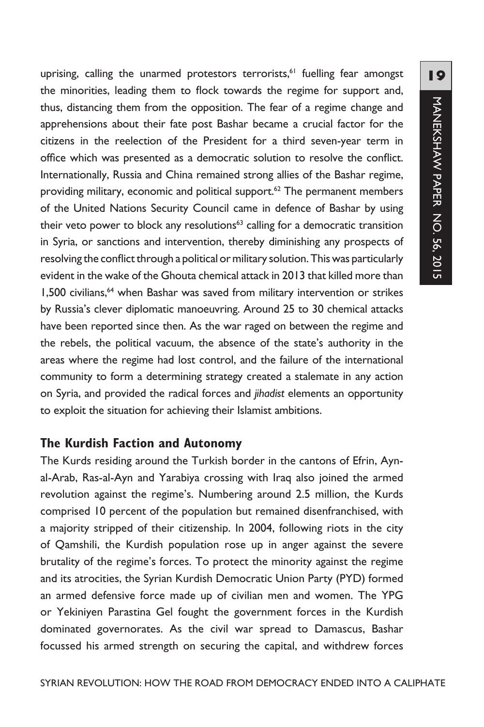uprising, calling the unarmed protestors terrorists,<sup>61</sup> fuelling fear amongst the minorities, leading them to flock towards the regime for support and, thus, distancing them from the opposition. The fear of a regime change and apprehensions about their fate post Bashar became a crucial factor for the citizens in the reelection of the President for a third seven-year term in office which was presented as a democratic solution to resolve the conflict. Internationally, Russia and China remained strong allies of the Bashar regime, providing military, economic and political support.<sup>62</sup> The permanent members of the United Nations Security Council came in defence of Bashar by using their veto power to block any resolutions<sup>63</sup> calling for a democratic transition in Syria, or sanctions and intervention, thereby diminishing any prospects of resolving the conflict through a political or military solution. This was particularly evident in the wake of the Ghouta chemical attack in 2013 that killed more than 1,500 civilians,<sup>64</sup> when Bashar was saved from military intervention or strikes by Russia's clever diplomatic manoeuvring. Around 25 to 30 chemical attacks have been reported since then. As the war raged on between the regime and the rebels, the political vacuum, the absence of the state's authority in the areas where the regime had lost control, and the failure of the international community to form a determining strategy created a stalemate in any action on Syria, and provided the radical forces and *jihadist* elements an opportunity to exploit the situation for achieving their Islamist ambitions.

# **The Kurdish Faction and Autonomy**

The Kurds residing around the Turkish border in the cantons of Efrin, Aynal-Arab, Ras-al-Ayn and Yarabiya crossing with Iraq also joined the armed revolution against the regime's. Numbering around 2.5 million, the Kurds comprised 10 percent of the population but remained disenfranchised, with a majority stripped of their citizenship. In 2004, following riots in the city of Qamshili, the Kurdish population rose up in anger against the severe brutality of the regime's forces. To protect the minority against the regime and its atrocities, the Syrian Kurdish Democratic Union Party (PYD) formed an armed defensive force made up of civilian men and women. The YPG or Yekiniyen Parastina Gel fought the government forces in the Kurdish dominated governorates. As the civil war spread to Damascus, Bashar focussed his armed strength on securing the capital, and withdrew forces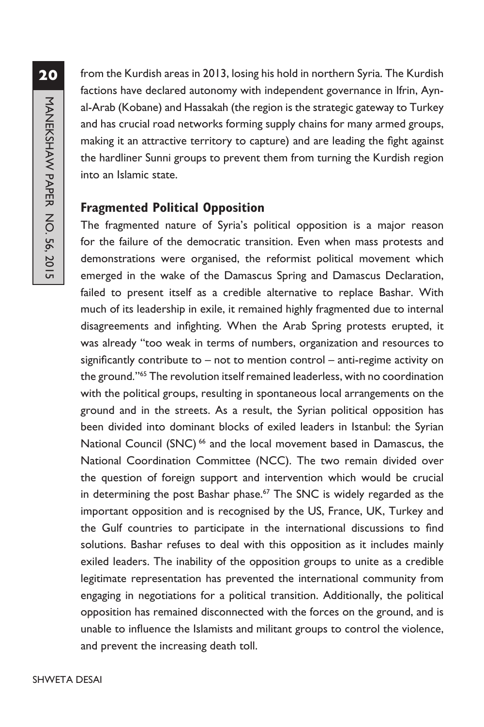from the Kurdish areas in 2013, losing his hold in northern Syria. The Kurdish factions have declared autonomy with independent governance in Ifrin, Aynal-Arab (Kobane) and Hassakah (the region is the strategic gateway to Turkey and has crucial road networks forming supply chains for many armed groups, making it an attractive territory to capture) and are leading the fight against the hardliner Sunni groups to prevent them from turning the Kurdish region into an Islamic state.

#### **Fragmented Political Opposition**

The fragmented nature of Syria's political opposition is a major reason for the failure of the democratic transition. Even when mass protests and demonstrations were organised, the reformist political movement which emerged in the wake of the Damascus Spring and Damascus Declaration, failed to present itself as a credible alternative to replace Bashar. With much of its leadership in exile, it remained highly fragmented due to internal disagreements and infighting. When the Arab Spring protests erupted, it was already "too weak in terms of numbers, organization and resources to significantly contribute to – not to mention control – anti-regime activity on the ground.''65 The revolution itself remained leaderless, with no coordination with the political groups, resulting in spontaneous local arrangements on the ground and in the streets. As a result, the Syrian political opposition has been divided into dominant blocks of exiled leaders in Istanbul: the Syrian National Council (SNC)<sup>66</sup> and the local movement based in Damascus, the National Coordination Committee (NCC). The two remain divided over the question of foreign support and intervention which would be crucial in determining the post Bashar phase.<sup>67</sup> The SNC is widely regarded as the important opposition and is recognised by the US, France, UK, Turkey and the Gulf countries to participate in the international discussions to find solutions. Bashar refuses to deal with this opposition as it includes mainly exiled leaders. The inability of the opposition groups to unite as a credible legitimate representation has prevented the international community from engaging in negotiations for a political transition. Additionally, the political opposition has remained disconnected with the forces on the ground, and is unable to influence the Islamists and militant groups to control the violence, and prevent the increasing death toll.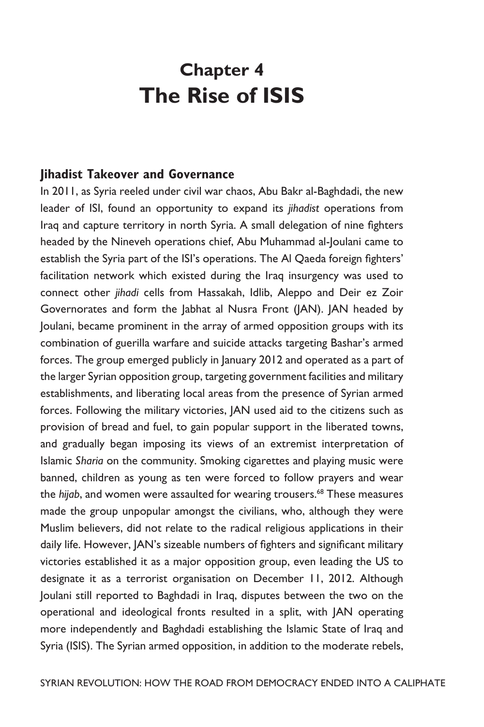# **Chapter 4 The Rise of ISIS**

#### **Jihadist Takeover and Governance**

In 2011, as Syria reeled under civil war chaos, Abu Bakr al-Baghdadi, the new leader of ISI, found an opportunity to expand its *jihadist* operations from Iraq and capture territory in north Syria. A small delegation of nine fighters headed by the Nineveh operations chief, Abu Muhammad al-Joulani came to establish the Syria part of the ISI's operations. The Al Qaeda foreign fighters' facilitation network which existed during the Iraq insurgency was used to connect other *jihadi* cells from Hassakah, Idlib, Aleppo and Deir ez Zoir Governorates and form the Jabhat al Nusra Front (JAN). JAN headed by Joulani, became prominent in the array of armed opposition groups with its combination of guerilla warfare and suicide attacks targeting Bashar's armed forces. The group emerged publicly in January 2012 and operated as a part of the larger Syrian opposition group, targeting government facilities and military establishments, and liberating local areas from the presence of Syrian armed forces. Following the military victories, JAN used aid to the citizens such as provision of bread and fuel, to gain popular support in the liberated towns, and gradually began imposing its views of an extremist interpretation of Islamic *Sharia* on the community. Smoking cigarettes and playing music were banned, children as young as ten were forced to follow prayers and wear the *hijab*, and women were assaulted for wearing trousers.<sup>68</sup> These measures made the group unpopular amongst the civilians, who, although they were Muslim believers, did not relate to the radical religious applications in their daily life. However, JAN's sizeable numbers of fighters and significant military victories established it as a major opposition group, even leading the US to designate it as a terrorist organisation on December 11, 2012. Although Joulani still reported to Baghdadi in Iraq, disputes between the two on the operational and ideological fronts resulted in a split, with JAN operating more independently and Baghdadi establishing the Islamic State of Iraq and Syria (ISIS). The Syrian armed opposition, in addition to the moderate rebels,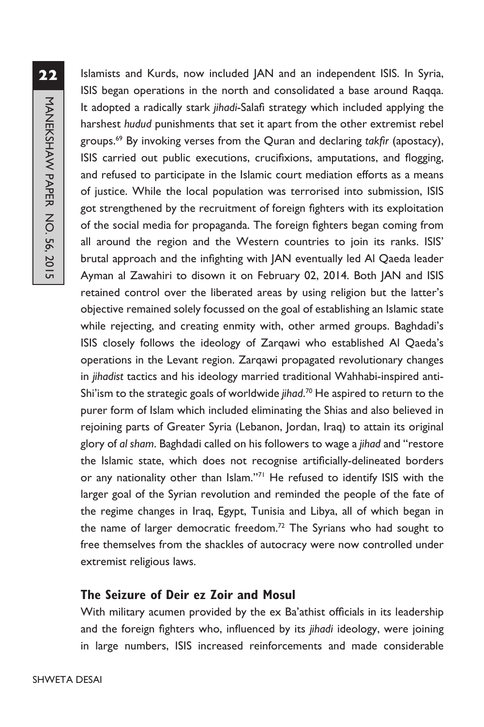Islamists and Kurds, now included JAN and an independent ISIS. In Syria, ISIS began operations in the north and consolidated a base around Raqqa. It adopted a radically stark *jihadi*-Salafi strategy which included applying the harshest *hudud* punishments that set it apart from the other extremist rebel groups.69 By invoking verses from the Quran and declaring *takfir* (apostacy), ISIS carried out public executions, crucifixions, amputations, and flogging, and refused to participate in the Islamic court mediation efforts as a means of justice. While the local population was terrorised into submission, ISIS got strengthened by the recruitment of foreign fighters with its exploitation of the social media for propaganda. The foreign fighters began coming from all around the region and the Western countries to join its ranks. ISIS' brutal approach and the infighting with JAN eventually led Al Qaeda leader Ayman al Zawahiri to disown it on February 02, 2014. Both JAN and ISIS retained control over the liberated areas by using religion but the latter's objective remained solely focussed on the goal of establishing an Islamic state while rejecting, and creating enmity with, other armed groups. Baghdadi's ISIS closely follows the ideology of Zarqawi who established Al Qaeda's operations in the Levant region. Zarqawi propagated revolutionary changes in *jihadist* tactics and his ideology married traditional Wahhabi-inspired anti-Shi'ism to the strategic goals of worldwide *jihad*. 70 He aspired to return to the purer form of Islam which included eliminating the Shias and also believed in rejoining parts of Greater Syria (Lebanon, Jordan, Iraq) to attain its original glory of *al sham*. Baghdadi called on his followers to wage a *jihad* and "restore the Islamic state, which does not recognise artificially-delineated borders or any nationality other than Islam."<sup>71</sup> He refused to identify ISIS with the larger goal of the Syrian revolution and reminded the people of the fate of the regime changes in Iraq, Egypt, Tunisia and Libya, all of which began in the name of larger democratic freedom.<sup>72</sup> The Syrians who had sought to free themselves from the shackles of autocracy were now controlled under extremist religious laws.

# **The Seizure of Deir ez Zoir and Mosul**

With military acumen provided by the ex Ba'athist officials in its leadership and the foreign fighters who, influenced by its *jihadi* ideology, were joining in large numbers, ISIS increased reinforcements and made considerable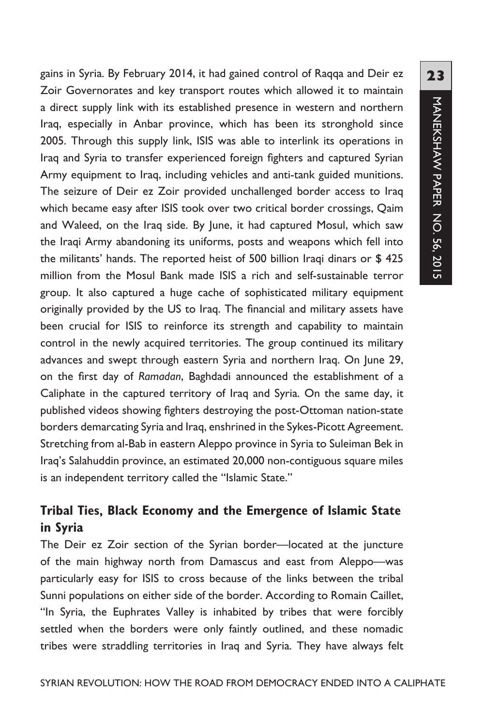gains in Syria. By February 2014, it had gained control of Raqqa and Deir ez Zoir Governorates and key transport routes which allowed it to maintain a direct supply link with its established presence in western and northern Iraq, especially in Anbar province, which has been its stronghold since 2005. Through this supply link, ISIS was able to interlink its operations in Iraq and Syria to transfer experienced foreign fighters and captured Syrian Army equipment to Iraq, including vehicles and anti-tank guided munitions. The seizure of Deir ez Zoir provided unchallenged border access to Iraq which became easy after ISIS took over two critical border crossings, Qaim and Waleed, on the Iraq side. By June, it had captured Mosul, which saw the Iraqi Army abandoning its uniforms, posts and weapons which fell into the militants' hands. The reported heist of 500 billion Iraqi dinars or \$ 425 million from the Mosul Bank made ISIS a rich and self-sustainable terror group. It also captured a huge cache of sophisticated military equipment originally provided by the US to Iraq. The financial and military assets have been crucial for ISIS to reinforce its strength and capability to maintain control in the newly acquired territories. The group continued its military advances and swept through eastern Syria and northern Iraq. On June 29, on the first day of *Ramadan*, Baghdadi announced the establishment of a Caliphate in the captured territory of Iraq and Syria. On the same day, it published videos showing fighters destroying the post-Ottoman nation-state borders demarcating Syria and Iraq, enshrined in the Sykes-Picott Agreement. Stretching from al-Bab in eastern Aleppo province in Syria to Suleiman Bek in Iraq's Salahuddin province, an estimated 20,000 non-contiguous square miles is an independent territory called the "Islamic State."

# **Tribal Ties, Black Economy and the Emergence of Islamic State in Syria**

The Deir ez Zoir section of the Syrian border—located at the juncture of the main highway north from Damascus and east from Aleppo—was particularly easy for ISIS to cross because of the links between the tribal Sunni populations on either side of the border. According to Romain Caillet, "In Syria, the Euphrates Valley is inhabited by tribes that were forcibly settled when the borders were only faintly outlined, and these nomadic tribes were straddling territories in Iraq and Syria. They have always felt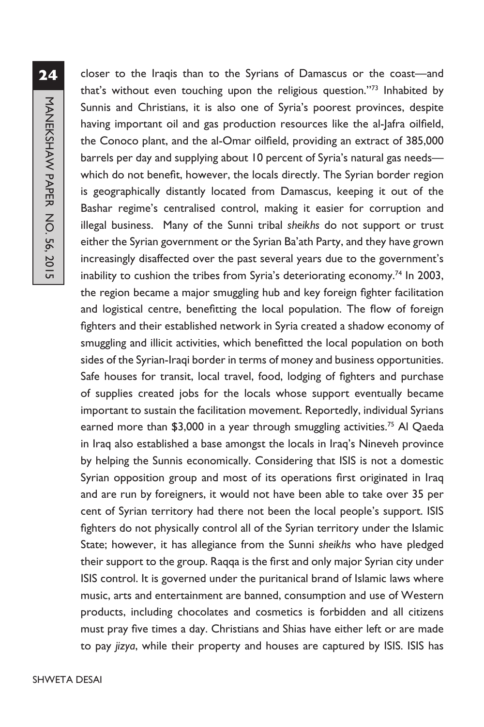closer to the Iraqis than to the Syrians of Damascus or the coast—and that's without even touching upon the religious question.''73 Inhabited by Sunnis and Christians, it is also one of Syria's poorest provinces, despite having important oil and gas production resources like the al-Jafra oilfield, the Conoco plant, and the al-Omar oilfield, providing an extract of 385,000 barrels per day and supplying about 10 percent of Syria's natural gas needswhich do not benefit, however, the locals directly. The Syrian border region is geographically distantly located from Damascus, keeping it out of the Bashar regime's centralised control, making it easier for corruption and illegal business. Many of the Sunni tribal *sheikhs* do not support or trust either the Syrian government or the Syrian Ba'ath Party, and they have grown increasingly disaffected over the past several years due to the government's inability to cushion the tribes from Syria's deteriorating economy.<sup>74</sup> In 2003, the region became a major smuggling hub and key foreign fighter facilitation and logistical centre, benefitting the local population. The flow of foreign fighters and their established network in Syria created a shadow economy of smuggling and illicit activities, which benefitted the local population on both sides of the Syrian-Iraqi border in terms of money and business opportunities. Safe houses for transit, local travel, food, lodging of fighters and purchase of supplies created jobs for the locals whose support eventually became important to sustain the facilitation movement. Reportedly, individual Syrians earned more than \$3,000 in a year through smuggling activities.<sup>75</sup> Al Qaeda in Iraq also established a base amongst the locals in Iraq's Nineveh province by helping the Sunnis economically. Considering that ISIS is not a domestic Syrian opposition group and most of its operations first originated in Iraq and are run by foreigners, it would not have been able to take over 35 per cent of Syrian territory had there not been the local people's support. ISIS fighters do not physically control all of the Syrian territory under the Islamic State; however, it has allegiance from the Sunni *sheikhs* who have pledged their support to the group. Raqqa is the first and only major Syrian city under ISIS control. It is governed under the puritanical brand of Islamic laws where music, arts and entertainment are banned, consumption and use of Western products, including chocolates and cosmetics is forbidden and all citizens must pray five times a day. Christians and Shias have either left or are made to pay *jizya*, while their property and houses are captured by ISIS. ISIS has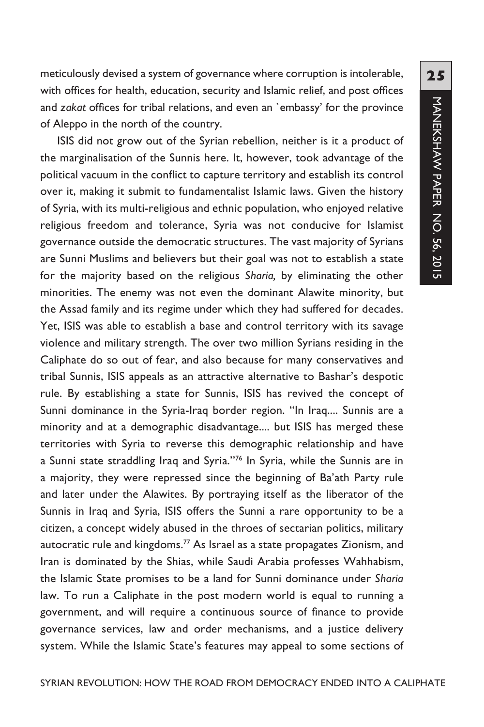meticulously devised a system of governance where corruption is intolerable, with offices for health, education, security and Islamic relief, and post offices and *zakat* offices for tribal relations, and even an `embassy' for the province of Aleppo in the north of the country.

ISIS did not grow out of the Syrian rebellion, neither is it a product of the marginalisation of the Sunnis here. It, however, took advantage of the political vacuum in the conflict to capture territory and establish its control over it, making it submit to fundamentalist Islamic laws. Given the history of Syria, with its multi-religious and ethnic population, who enjoyed relative religious freedom and tolerance, Syria was not conducive for Islamist governance outside the democratic structures. The vast majority of Syrians are Sunni Muslims and believers but their goal was not to establish a state for the majority based on the religious *Sharia,* by eliminating the other minorities. The enemy was not even the dominant Alawite minority, but the Assad family and its regime under which they had suffered for decades. Yet, ISIS was able to establish a base and control territory with its savage violence and military strength. The over two million Syrians residing in the Caliphate do so out of fear, and also because for many conservatives and tribal Sunnis, ISIS appeals as an attractive alternative to Bashar's despotic rule. By establishing a state for Sunnis, ISIS has revived the concept of Sunni dominance in the Syria-Iraq border region. "In Iraq.... Sunnis are a minority and at a demographic disadvantage.... but ISIS has merged these territories with Syria to reverse this demographic relationship and have a Sunni state straddling Iraq and Syria.''76 In Syria, while the Sunnis are in a majority, they were repressed since the beginning of Ba'ath Party rule and later under the Alawites. By portraying itself as the liberator of the Sunnis in Iraq and Syria, ISIS offers the Sunni a rare opportunity to be a citizen, a concept widely abused in the throes of sectarian politics, military autocratic rule and kingdoms.<sup>77</sup> As Israel as a state propagates Zionism, and Iran is dominated by the Shias, while Saudi Arabia professes Wahhabism, the Islamic State promises to be a land for Sunni dominance under *Sharia* law. To run a Caliphate in the post modern world is equal to running a government, and will require a continuous source of finance to provide governance services, law and order mechanisms, and a justice delivery system. While the Islamic State's features may appeal to some sections of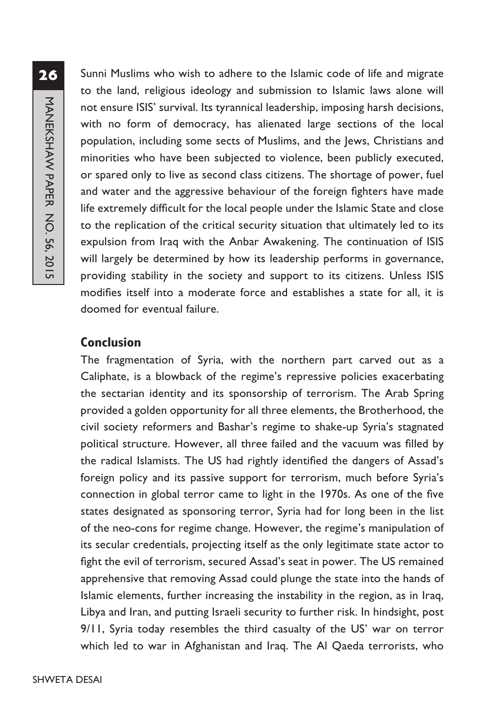Sunni Muslims who wish to adhere to the Islamic code of life and migrate to the land, religious ideology and submission to Islamic laws alone will not ensure ISIS' survival. Its tyrannical leadership, imposing harsh decisions, with no form of democracy, has alienated large sections of the local population, including some sects of Muslims, and the Jews, Christians and minorities who have been subjected to violence, been publicly executed, or spared only to live as second class citizens. The shortage of power, fuel and water and the aggressive behaviour of the foreign fighters have made life extremely difficult for the local people under the Islamic State and close to the replication of the critical security situation that ultimately led to its expulsion from Iraq with the Anbar Awakening. The continuation of ISIS will largely be determined by how its leadership performs in governance, providing stability in the society and support to its citizens. Unless ISIS modifies itself into a moderate force and establishes a state for all, it is doomed for eventual failure.

# **Conclusion**

The fragmentation of Syria, with the northern part carved out as a Caliphate, is a blowback of the regime's repressive policies exacerbating the sectarian identity and its sponsorship of terrorism. The Arab Spring provided a golden opportunity for all three elements, the Brotherhood, the civil society reformers and Bashar's regime to shake-up Syria's stagnated political structure. However, all three failed and the vacuum was filled by the radical Islamists. The US had rightly identified the dangers of Assad's foreign policy and its passive support for terrorism, much before Syria's connection in global terror came to light in the 1970s. As one of the five states designated as sponsoring terror, Syria had for long been in the list of the neo-cons for regime change. However, the regime's manipulation of its secular credentials, projecting itself as the only legitimate state actor to fight the evil of terrorism, secured Assad's seat in power. The US remained apprehensive that removing Assad could plunge the state into the hands of Islamic elements, further increasing the instability in the region, as in Iraq, Libya and Iran, and putting Israeli security to further risk. In hindsight, post 9/11, Syria today resembles the third casualty of the US' war on terror which led to war in Afghanistan and Iraq. The Al Qaeda terrorists, who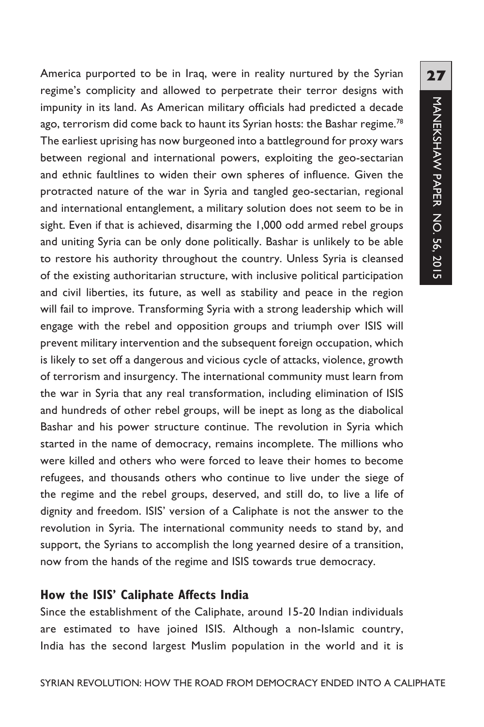**27**MANEKSHAW PAPER NO. 56, 2015 MANEKSHAW PAPER NO. 56, 2015

America purported to be in Iraq, were in reality nurtured by the Syrian regime's complicity and allowed to perpetrate their terror designs with impunity in its land. As American military officials had predicted a decade ago, terrorism did come back to haunt its Syrian hosts: the Bashar regime.<sup>78</sup> The earliest uprising has now burgeoned into a battleground for proxy wars between regional and international powers, exploiting the geo-sectarian and ethnic faultlines to widen their own spheres of influence. Given the protracted nature of the war in Syria and tangled geo-sectarian, regional and international entanglement, a military solution does not seem to be in sight. Even if that is achieved, disarming the 1,000 odd armed rebel groups and uniting Syria can be only done politically. Bashar is unlikely to be able to restore his authority throughout the country. Unless Syria is cleansed of the existing authoritarian structure, with inclusive political participation and civil liberties, its future, as well as stability and peace in the region will fail to improve. Transforming Syria with a strong leadership which will engage with the rebel and opposition groups and triumph over ISIS will prevent military intervention and the subsequent foreign occupation, which is likely to set off a dangerous and vicious cycle of attacks, violence, growth of terrorism and insurgency. The international community must learn from the war in Syria that any real transformation, including elimination of ISIS and hundreds of other rebel groups, will be inept as long as the diabolical Bashar and his power structure continue. The revolution in Syria which started in the name of democracy, remains incomplete. The millions who were killed and others who were forced to leave their homes to become refugees, and thousands others who continue to live under the siege of the regime and the rebel groups, deserved, and still do, to live a life of dignity and freedom. ISIS' version of a Caliphate is not the answer to the revolution in Syria. The international community needs to stand by, and support, the Syrians to accomplish the long yearned desire of a transition, now from the hands of the regime and ISIS towards true democracy.

#### **How the ISIS' Caliphate Affects India**

Since the establishment of the Caliphate, around 15-20 Indian individuals are estimated to have joined ISIS. Although a non-Islamic country, India has the second largest Muslim population in the world and it is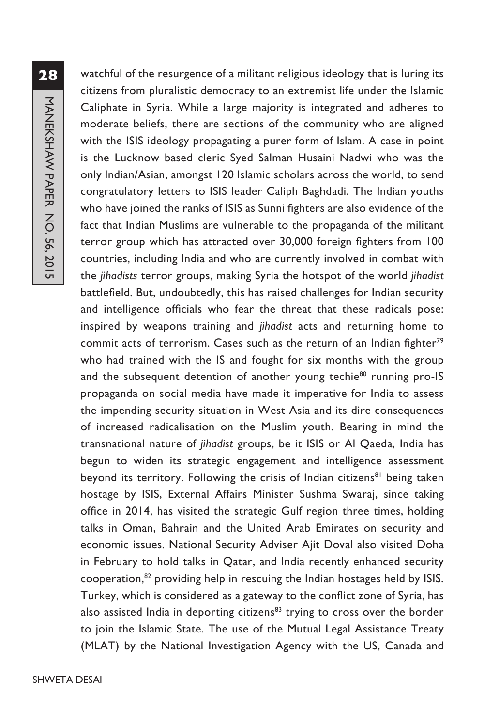watchful of the resurgence of a militant religious ideology that is luring its citizens from pluralistic democracy to an extremist life under the Islamic Caliphate in Syria. While a large majority is integrated and adheres to moderate beliefs, there are sections of the community who are aligned with the ISIS ideology propagating a purer form of Islam. A case in point is the Lucknow based cleric Syed Salman Husaini Nadwi who was the only Indian/Asian, amongst 120 Islamic scholars across the world, to send congratulatory letters to ISIS leader Caliph Baghdadi. The Indian youths who have joined the ranks of ISIS as Sunni fighters are also evidence of the fact that Indian Muslims are vulnerable to the propaganda of the militant terror group which has attracted over 30,000 foreign fighters from 100 countries, including India and who are currently involved in combat with the *jihadists* terror groups, making Syria the hotspot of the world *jihadist* battlefield. But, undoubtedly, this has raised challenges for Indian security and intelligence officials who fear the threat that these radicals pose: inspired by weapons training and *jihadist* acts and returning home to commit acts of terrorism. Cases such as the return of an Indian fighter<sup>79</sup> who had trained with the IS and fought for six months with the group and the subsequent detention of another young techie<sup>80</sup> running pro-IS propaganda on social media have made it imperative for India to assess the impending security situation in West Asia and its dire consequences of increased radicalisation on the Muslim youth. Bearing in mind the transnational nature of *jihadist* groups, be it ISIS or Al Qaeda, India has begun to widen its strategic engagement and intelligence assessment beyond its territory. Following the crisis of Indian citizens<sup>81</sup> being taken hostage by ISIS, External Affairs Minister Sushma Swaraj, since taking office in 2014, has visited the strategic Gulf region three times, holding talks in Oman, Bahrain and the United Arab Emirates on security and economic issues. National Security Adviser Ajit Doval also visited Doha in February to hold talks in Qatar, and India recently enhanced security cooperation,82 providing help in rescuing the Indian hostages held by ISIS. Turkey, which is considered as a gateway to the conflict zone of Syria, has also assisted India in deporting citizens<sup>83</sup> trying to cross over the border to join the Islamic State. The use of the Mutual Legal Assistance Treaty (MLAT) by the National Investigation Agency with the US, Canada and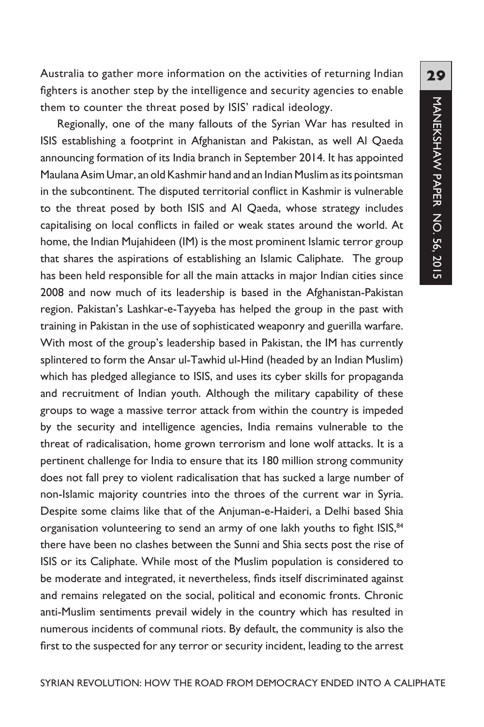Australia to gather more information on the activities of returning Indian fighters is another step by the intelligence and security agencies to enable them to counter the threat posed by ISIS' radical ideology.

Regionally, one of the many fallouts of the Syrian War has resulted in ISIS establishing a footprint in Afghanistan and Pakistan, as well Al Qaeda announcing formation of its India branch in September 2014. It has appointed Maulana Asim Umar, an old Kashmir hand and an Indian Muslim as its pointsman in the subcontinent. The disputed territorial conflict in Kashmir is vulnerable to the threat posed by both ISIS and Al Qaeda, whose strategy includes capitalising on local conflicts in failed or weak states around the world. At home, the Indian Mujahideen (IM) is the most prominent Islamic terror group that shares the aspirations of establishing an Islamic Caliphate. The group has been held responsible for all the main attacks in major Indian cities since 2008 and now much of its leadership is based in the Afghanistan-Pakistan region. Pakistan's Lashkar-e-Tayyeba has helped the group in the past with training in Pakistan in the use of sophisticated weaponry and guerilla warfare. With most of the group's leadership based in Pakistan, the IM has currently splintered to form the Ansar ul-Tawhid ul-Hind (headed by an Indian Muslim) which has pledged allegiance to ISIS, and uses its cyber skills for propaganda and recruitment of Indian youth. Although the military capability of these groups to wage a massive terror attack from within the country is impeded by the security and intelligence agencies, India remains vulnerable to the threat of radicalisation, home grown terrorism and lone wolf attacks. It is a pertinent challenge for India to ensure that its 180 million strong community does not fall prey to violent radicalisation that has sucked a large number of non-Islamic majority countries into the throes of the current war in Syria. Despite some claims like that of the Anjuman-e-Haideri, a Delhi based Shia organisation volunteering to send an army of one lakh youths to fight ISIS,<sup>84</sup> there have been no clashes between the Sunni and Shia sects post the rise of ISIS or its Caliphate. While most of the Muslim population is considered to be moderate and integrated, it nevertheless, finds itself discriminated against and remains relegated on the social, political and economic fronts. Chronic anti-Muslim sentiments prevail widely in the country which has resulted in numerous incidents of communal riots. By default, the community is also the first to the suspected for any terror or security incident, leading to the arrest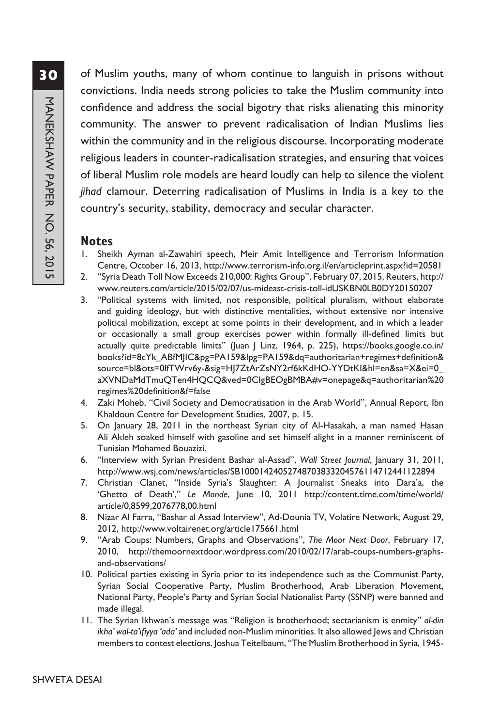of Muslim youths, many of whom continue to languish in prisons without convictions. India needs strong policies to take the Muslim community into confidence and address the social bigotry that risks alienating this minority community. The answer to prevent radicalisation of Indian Muslims lies within the community and in the religious discourse. Incorporating moderate religious leaders in counter-radicalisation strategies, and ensuring that voices of liberal Muslim role models are heard loudly can help to silence the violent *jihad* clamour. Deterring radicalisation of Muslims in India is a key to the country's security, stability, democracy and secular character.

#### **Notes**

- 1. Sheikh Ayman al-Zawahiri speech, Meir Amit Intelligence and Terrorism Information Centre, October 16, 2013, http://www.terrorism-info.org.il/en/articleprint.aspx?id=20581
- 2. "Syria Death Toll Now Exceeds 210,000: Rights Group", February 07, 2015, Reuters, http:// www.reuters.com/article/2015/02/07/us-mideast-crisis-toll-idUSKBN0LB0DY20150207
- 3. "Political systems with limited, not responsible, political pluralism, without elaborate and guiding ideology, but with distinctive mentalities, without extensive nor intensive political mobilization, except at some points in their development, and in which a leader or occasionally a small group exercises power within formally ill-defined limits but actually quite predictable limits" (Juan J Linz, 1964, p. 225), https://books.google.co.in/ books?id=8cYk\_ABfMJIC&pg=PA159&lpg=PA159&dq=authoritarian+regimes+definition& source=bl&ots=0lfTWrv6y-&sig=HJ7ZtArZsNY2rf6kKdHO-YYDtKI&hl=en&sa=X&ei=0\_ aXVNDaMdTmuQTen4HQCQ&ved=0CIgBEOgBMBA#v=onepage&q=authoritarian%20 regimes%20definition&f=false
- 4. Zaki Moheb, "Civil Society and Democratisation in the Arab World", Annual Report, Ibn Khaldoun Centre for Development Studies, 2007, p. 15.
- 5. On January 28, 2011 in the northeast Syrian city of Al-Hasakah, a man named Hasan Ali Akleh soaked himself with gasoline and set himself alight in a manner reminiscent of Tunisian Mohamed Bouazizi.
- 6. "Interview with Syrian President Bashar al-Assad", *Wall Street Journal*, January 31, 2011, http://www.wsj.com/news/articles/SB10001424052748703833204576114712441122894
- 7. Christian Clanet, "Inside Syria's Slaughter: A Journalist Sneaks into Dara'a, the 'Ghetto of Death'," *Le Monde*, June 10, 2011 http://content.time.com/time/world/ article/0,8599,2076778,00.html
- 8. Nizar Al Farra, "Bashar al Assad Interview", Ad-Dounia TV, Volatire Network, August 29, 2012, http://www.voltairenet.org/article175661.html
- 9. "Arab Coups: Numbers, Graphs and Observations", *The Moor Next Door*, February 17, 2010, http://themoornextdoor.wordpress.com/2010/02/17/arab-coups-numbers-graphsand-observations/
- 10. Political parties existing in Syria prior to its independence such as the Communist Party, Syrian Social Cooperative Party, Muslim Brotherhood, Arab Liberation Movement, National Party, People's Party and Syrian Social Nationalist Party (SSNP) were banned and made illegal.
- 11. The Syrian Ikhwan's message was "Religion is brotherhood; sectarianism is enmity" *al-din ikha' wal-ta'ifiyya 'ada'* and included non-Muslim minorities. It also allowed Jews and Christian members to contest elections. Joshua Teitelbaum, "The Muslim Brotherhood in Syria, 1945-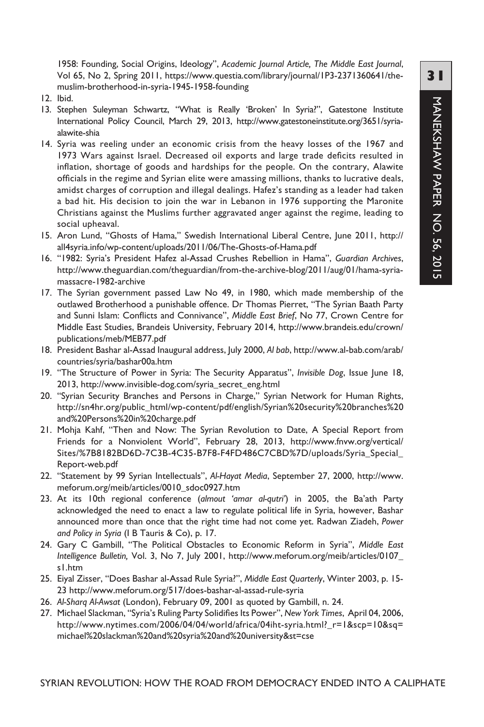1958: Founding, Social Origins, Ideology", *Academic Journal Article, The Middle East Journal*, Vol 65, No 2, Spring 2011, https://www.questia.com/library/journal/1P3-2371360641/themuslim-brotherhood-in-syria-1945-1958-founding

- 12. Ibid.
- 13. Stephen Suleyman Schwartz, "What is Really 'Broken' In Syria?", Gatestone Institute International Policy Council, March 29, 2013, http://www.gatestoneinstitute.org/3651/syriaalawite-shia
- 14. Syria was reeling under an economic crisis from the heavy losses of the 1967 and 1973 Wars against Israel. Decreased oil exports and large trade deficits resulted in inflation, shortage of goods and hardships for the people. On the contrary, Alawite officials in the regime and Syrian elite were amassing millions, thanks to lucrative deals, amidst charges of corruption and illegal dealings. Hafez's standing as a leader had taken a bad hit. His decision to join the war in Lebanon in 1976 supporting the Maronite Christians against the Muslims further aggravated anger against the regime, leading to social upheaval.
- 15. Aron Lund, "Ghosts of Hama," Swedish International Liberal Centre, June 2011, http:// all4syria.info/wp-content/uploads/2011/06/The-Ghosts-of-Hama.pdf
- 16. "1982: Syria's President Hafez al-Assad Crushes Rebellion in Hama", *Guardian Archives*, http://www.theguardian.com/theguardian/from-the-archive-blog/2011/aug/01/hama-syriamassacre-1982-archive
- 17. The Syrian government passed Law No 49, in 1980, which made membership of the outlawed Brotherhood a punishable offence. Dr Thomas Pierret, "The Syrian Baath Party and Sunni Islam: Conflicts and Connivance", *Middle East Brief*, No 77, Crown Centre for Middle East Studies, Brandeis University, February 2014, http://www.brandeis.edu/crown/ publications/meb/MEB77.pdf
- 18. President Bashar al-Assad Inaugural address, July 2000, *Al bab*, http://www.al-bab.com/arab/ countries/syria/bashar00a.htm
- 19. "The Structure of Power in Syria: The Security Apparatus", *Invisible Dog*, Issue June 18, 2013, http://www.invisible-dog.com/syria\_secret\_eng.html
- 20. "Syrian Security Branches and Persons in Charge," Syrian Network for Human Rights, http://sn4hr.org/public\_html/wp-content/pdf/english/Syrian%20security%20branches%20 and%20Persons%20in%20charge.pdf
- 21. Mohja Kahf, "Then and Now: The Syrian Revolution to Date, A Special Report from Friends for a Nonviolent World", February 28, 2013, http://www.fnvw.org/vertical/ Sites/%7B8182BD6D-7C3B-4C35-B7F8-F4FD486C7CBD%7D/uploads/Syria\_Special\_ Report-web.pdf
- 22. "Statement by 99 Syrian Intellectuals", *Al-Hayat Media*, September 27, 2000, http://www. meforum.org/meib/articles/0010\_sdoc0927.htm
- 23. At its 10th regional conference (*almout 'amar al-qutri'*) in 2005, the Ba'ath Party acknowledged the need to enact a law to regulate political life in Syria, however, Bashar announced more than once that the right time had not come yet. Radwan Ziadeh, *Power and Policy in Syria* (I B Tauris & Co), p. 17.
- 24. Gary C Gambill, "The Political Obstacles to Economic Reform in Syria", *Middle East Intelligence Bulletin,* Vol. 3, No 7, July 2001, http://www.meforum.org/meib/articles/0107\_ s1.htm
- 25. Eiyal Zisser, "Does Bashar al-Assad Rule Syria?", *Middle East Quarterly*, Winter 2003, p. 15- 23 http://www.meforum.org/517/does-bashar-al-assad-rule-syria
- 26. *Al-Sharq Al-Awsat* (London), February 09, 2001 as quoted by Gambill, n. 24.
- 27. Michael Slackman, "Syria's Ruling Party Solidifies Its Power", *New York Times*, April 04, 2006, http://www.nytimes.com/2006/04/04/world/africa/04iht-syria.html?\_r=1&scp=10&sq= michael%20slackman%20and%20syria%20and%20university&st=cse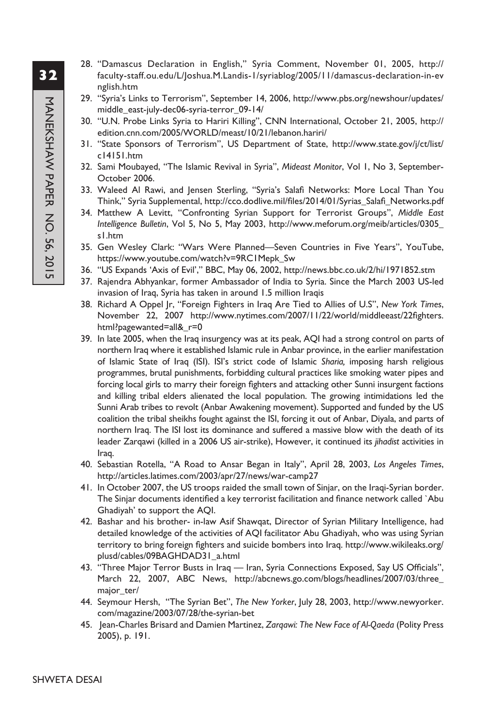- **32**
- 28. "Damascus Declaration in English," Syria Comment, November 01, 2005, http:// faculty-staff.ou.edu/L/Joshua.M.Landis-1/syriablog/2005/11/damascus-declaration-in-ev nglish.htm
	- 29. "Syria's Links to Terrorism", September 14, 2006, http://www.pbs.org/newshour/updates/ middle\_east-july-dec06-syria-terror\_09-14/
	- 30. "U.N. Probe Links Syria to Hariri Killing", CNN International, October 21, 2005, http:// edition.cnn.com/2005/WORLD/meast/10/21/lebanon.hariri/
	- 31. "State Sponsors of Terrorism", US Department of State, http://www.state.gov/j/ct/list/ c14151.htm
	- 32. Sami Moubayed, "The Islamic Revival in Syria", *Mideast Monitor*, Vol 1, No 3, September-October 2006.
	- 33. Waleed Al Rawi, and Jensen Sterling, "Syria's Salafi Networks: More Local Than You Think," Syria Supplemental, http://cco.dodlive.mil/files/2014/01/Syrias\_Salafi\_Networks.pdf
	- 34. Matthew A Levitt, "Confronting Syrian Support for Terrorist Groups", *Middle East Intelligence Bulletin*, Vol 5, No 5, May 2003, http://www.meforum.org/meib/articles/0305\_ s1.htm
	- 35. Gen Wesley Clark: "Wars Were Planned—Seven Countries in Five Years", YouTube, https://www.youtube.com/watch?v=9RC1Mepk\_Sw
	- 36. "US Expands 'Axis of Evil'," BBC, May 06, 2002, http://news.bbc.co.uk/2/hi/1971852.stm
	- 37. Rajendra Abhyankar, former Ambassador of India to Syria. Since the March 2003 US-led invasion of Iraq, Syria has taken in around 1.5 million Iraqis
	- 38. Richard A Oppel Jr, "Foreign Fighters in Iraq Are Tied to Allies of U.S", *New York Times*, November 22, 2007 http://www.nytimes.com/2007/11/22/world/middleeast/22fighters. html?pagewanted=all&\_r=0
	- 39. In late 2005, when the Iraq insurgency was at its peak, AQI had a strong control on parts of northern Iraq where it established Islamic rule in Anbar province, in the earlier manifestation of Islamic State of Iraq (ISI). ISI's strict code of Islamic *Sharia,* imposing harsh religious programmes, brutal punishments, forbidding cultural practices like smoking water pipes and forcing local girls to marry their foreign fighters and attacking other Sunni insurgent factions and killing tribal elders alienated the local population. The growing intimidations led the Sunni Arab tribes to revolt (Anbar Awakening movement). Supported and funded by the US coalition the tribal sheikhs fought against the ISI, forcing it out of Anbar, Diyala, and parts of northern Iraq. The ISI lost its dominance and suffered a massive blow with the death of its leader Zarqawi (killed in a 2006 US air-strike), However, it continued its *jihadist* activities in Iraq.
	- 40. Sebastian Rotella, "A Road to Ansar Began in Italy", April 28, 2003, *Los Angeles Times*, http://articles.latimes.com/2003/apr/27/news/war-camp27
	- 41. In October 2007, the US troops raided the small town of Sinjar, on the Iraqi-Syrian border. The Sinjar documents identified a key terrorist facilitation and finance network called `Abu Ghadiyah' to support the AQI.
	- 42. Bashar and his brother- in-law Asif Shawqat, Director of Syrian Military Intelligence, had detailed knowledge of the activities of AQI facilitator Abu Ghadiyah, who was using Syrian territory to bring foreign fighters and suicide bombers into Iraq. http://www.wikileaks.org/ plusd/cables/09BAGHDAD31\_a.html
	- 43. "Three Major Terror Busts in Iraq Iran, Syria Connections Exposed, Say US Officials", March 22, 2007, ABC News, http://abcnews.go.com/blogs/headlines/2007/03/three\_ major\_ter/
	- 44. Seymour Hersh, "The Syrian Bet", *The New Yorker*, July 28, 2003, http://www.newyorker. com/magazine/2003/07/28/the-syrian-bet
	- 45. Jean-Charles Brisard and Damien Martinez, *Zarqawi: The New Face of Al-Qaeda* (Polity Press 2005), p. 191.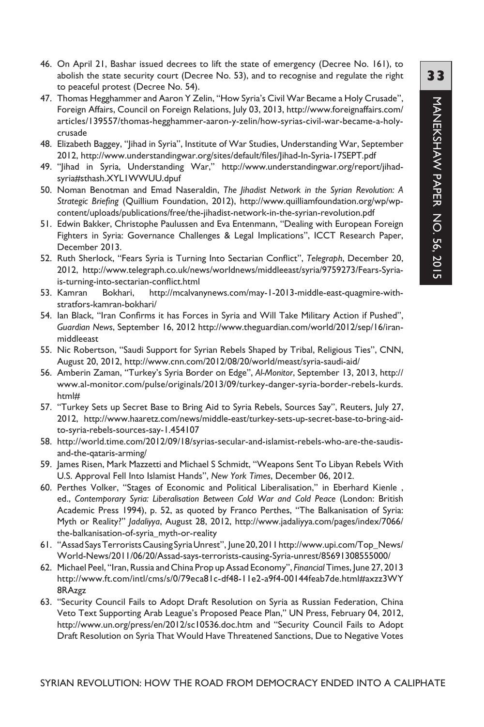- 46. On April 21, Bashar issued decrees to lift the state of emergency (Decree No. 161), to abolish the state security court (Decree No. 53), and to recognise and regulate the right to peaceful protest (Decree No. 54).
- 47. Thomas Hegghammer and Aaron Y Zelin, "How Syria's Civil War Became a Holy Crusade", Foreign Affairs, Council on Foreign Relations, July 03, 2013, http://www.foreignaffairs.com/ articles/139557/thomas-hegghammer-aaron-y-zelin/how-syrias-civil-war-became-a-holycrusade
- 48. Elizabeth Baggey, "Jihad in Syria", Institute of War Studies, Understanding War, September 2012, http://www.understandingwar.org/sites/default/files/Jihad-In-Syria-17SEPT.pdf
- 49. "Jihad in Syria, Understanding War," http://www.understandingwar.org/report/jihadsyria#sthash.XYL1WWUU.dpuf
- 50. Noman Benotman and Emad Naseraldin, *The Jihadist Network in the Syrian Revolution: A Strategic Briefing* (Quillium Foundation, 2012), http://www.quilliamfoundation.org/wp/wpcontent/uploads/publications/free/the-jihadist-network-in-the-syrian-revolution.pdf
- 51. Edwin Bakker, Christophe Paulussen and Eva Entenmann, "Dealing with European Foreign Fighters in Syria: Governance Challenges & Legal Implications", ICCT Research Paper, December 2013.
- 52. Ruth Sherlock, "Fears Syria is Turning Into Sectarian Conflict", *Telegraph*, December 20, 2012, http://www.telegraph.co.uk/news/worldnews/middleeast/syria/9759273/Fears-Syriais-turning-into-sectarian-conflict.html
- 53. Kamran Bokhari, http://mcalvanynews.com/may-1-2013-middle-east-quagmire-withstratfors-kamran-bokhari/
- 54. Ian Black, "Iran Confirms it has Forces in Syria and Will Take Military Action if Pushed", *Guardian News*, September 16, 2012 http://www.theguardian.com/world/2012/sep/16/iranmiddleeast
- 55. Nic Robertson, "Saudi Support for Syrian Rebels Shaped by Tribal, Religious Ties", CNN, August 20, 2012, http://www.cnn.com/2012/08/20/world/meast/syria-saudi-aid/
- 56. Amberin Zaman, "Turkey's Syria Border on Edge", *Al-Monitor*, September 13, 2013, http:// www.al-monitor.com/pulse/originals/2013/09/turkey-danger-syria-border-rebels-kurds. html#
- 57. "Turkey Sets up Secret Base to Bring Aid to Syria Rebels, Sources Say", Reuters, July 27, 2012, http://www.haaretz.com/news/middle-east/turkey-sets-up-secret-base-to-bring-aidto-syria-rebels-sources-say-1.454107
- 58. http://world.time.com/2012/09/18/syrias-secular-and-islamist-rebels-who-are-the-saudisand-the-qataris-arming/
- 59. James Risen, Mark Mazzetti and Michael S Schmidt, "Weapons Sent To Libyan Rebels With U.S. Approval Fell Into Islamist Hands", *New York Times*, December 06, 2012.
- 60. Perthes Volker, "Stages of Economic and Political Liberalisation," in Eberhard Kienle, ed., Contemporary Syria: Liberalisation Between Cold War and Cold Peace (London: British Academic Press 1994), p. 52, as quoted by Franco Perthes, "The Balkanisation of Syria: Myth or Reality?" *Jadaliyya*, August 28, 2012, http://www.jadaliyya.com/pages/index/7066/ the-balkanisation-of-syria\_myth-or-reality
- 61. "Assad Says Terrorists Causing Syria Unrest", June 20, 2011 http://www.upi.com/Top\_News/ World-News/2011/06/20/Assad-says-terrorists-causing-Syria-unrest/85691308555000/
- 62. Michael Peel, "Iran, Russia and China Prop up Assad Economy", *Financial* Times, June 27, 2013 http://www.ft.com/intl/cms/s/0/79eca81c-df48-11e2-a9f4-00144feab7de.html#axzz3WY 8RAzgz
- 63. "Security Council Fails to Adopt Draft Resolution on Syria as Russian Federation, China Veto Text Supporting Arab League's Proposed Peace Plan," UN Press, February 04, 2012, http://www.un.org/press/en/2012/sc10536.doc.htm and "Security Council Fails to Adopt Draft Resolution on Syria That Would Have Threatened Sanctions, Due to Negative Votes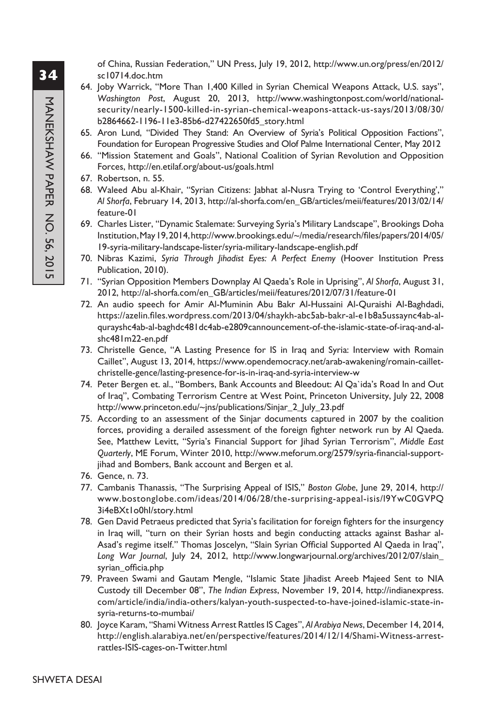of China, Russian Federation," UN Press, July 19, 2012, http://www.un.org/press/en/2012/ sc10714.doc.htm

- 64. Joby Warrick, "More Than 1,400 Killed in Syrian Chemical Weapons Attack, U.S. says", *Washington Post*, August 20, 2013, http://www.washingtonpost.com/world/nationalsecurity/nearly-1500-killed-in-syrian-chemical-weapons-attack-us-says/2013/08/30/ b2864662-1196-11e3-85b6-d27422650fd5\_story.html
- 65. Aron Lund, "Divided They Stand: An Overview of Syria's Political Opposition Factions", Foundation for European Progressive Studies and Olof Palme International Center, May 2012
- 66. "Mission Statement and Goals", National Coalition of Syrian Revolution and Opposition Forces, http://en.etilaf.org/about-us/goals.html
- 67. Robertson, n. 55.
- 68. Waleed Abu al-Khair, "Syrian Citizens: Jabhat al-Nusra Trying to 'Control Everything'," *Al Shorfa*, February 14, 2013, http://al-shorfa.com/en\_GB/articles/meii/features/2013/02/14/ feature-01
- 69. Charles Lister, "Dynamic Stalemate: Surveying Syria's Military Landscape", Brookings Doha Institution, May 19, 2014, http://www.brookings.edu/~/media/research/files/papers/2014/05/ 19-syria-military-landscape-lister/syria-military-landscape-english.pdf
- 70. Nibras Kazimi, *Syria Through Jihadist Eyes: A Perfect Enemy* (Hoover Institution Press Publication, 2010).
- 71. "Syrian Opposition Members Downplay Al Qaeda's Role in Uprising", *Al Shorfa*, August 31, 2012, http://al-shorfa.com/en\_GB/articles/meii/features/2012/07/31/feature-01
- 72. An audio speech for Amir Al-Muminin Abu Bakr Al-Hussaini Al-Quraishi Al-Baghdadi, https://azelin.files.wordpress.com/2013/04/shaykh-abc5ab-bakr-al-e1b8a5ussaync4ab-alqurayshc4ab-al-baghdc481dc4ab-e2809cannouncement-of-the-islamic-state-of-iraq-and-alshc481m22-en.pdf
- 73. Christelle Gence, "A Lasting Presence for IS in Iraq and Syria: Interview with Romain Caillet", August 13, 2014, https://www.opendemocracy.net/arab-awakening/romain-cailletchristelle-gence/lasting-presence-for-is-in-iraq-and-syria-interview-w
- 74. Peter Bergen et. al., "Bombers, Bank Accounts and Bleedout: Al Qa`ida's Road In and Out of Iraq", Combating Terrorism Centre at West Point, Princeton University, July 22, 2008 http://www.princeton.edu/~jns/publications/Sinjar\_2\_July\_23.pdf
- 75. According to an assessment of the Sinjar documents captured in 2007 by the coalition forces, providing a derailed assessment of the foreign fighter network run by Al Qaeda. See, Matthew Levitt, "Syria's Financial Support for Jihad Syrian Terrorism", *Middle East Quarterly*, ME Forum, Winter 2010, http://www.meforum.org/2579/syria-financial-supportjihad and Bombers, Bank account and Bergen et al.
- 76. Gence, n. 73.
- 77. Cambanis Thanassis, "The Surprising Appeal of ISIS," *Boston Globe*, June 29, 2014, http:// www.bostonglobe.com/ideas/2014/06/28/the-surprising-appeal-isis/l9YwC0GVPQ 3i4eBXt1o0hI/story.html
- 78. Gen David Petraeus predicted that Syria's facilitation for foreign fighters for the insurgency in Iraq will, "turn on their Syrian hosts and begin conducting attacks against Bashar al-Asad's regime itself.'' Thomas Joscelyn, "Slain Syrian Official Supported Al Qaeda in Iraq", *Long War Journal*, July 24, 2012, http://www.longwarjournal.org/archives/2012/07/slain\_ syrian\_officia.php
- 79. Praveen Swami and Gautam Mengle, "Islamic State Jihadist Areeb Majeed Sent to NIA Custody till December 08", *The Indian Express*, November 19, 2014, http://indianexpress. com/article/india/india-others/kalyan-youth-suspected-to-have-joined-islamic-state-insyria-returns-to-mumbai/
- 80. Joyce Karam, "Shami Witness Arrest Rattles IS Cages", *Al Arabiya News*, December 14, 2014, http://english.alarabiya.net/en/perspective/features/2014/12/14/Shami-Witness-arrestrattles-ISIS-cages-on-Twitter.html